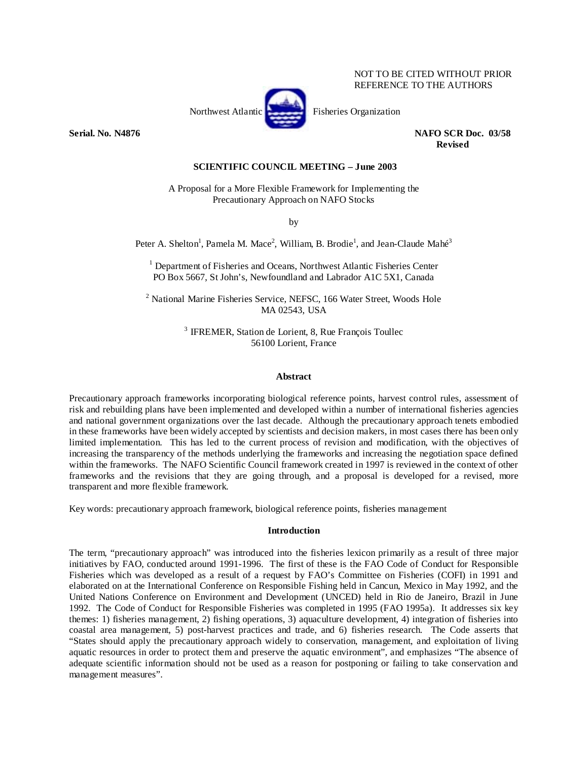## NOT TO BE CITED WITHOUT PRIOR REFERENCE TO THE AUTHORS



**Serial. No. N4876 NAFO SCR Doc. 03/58 Revised** 

#### **SCIENTIFIC COUNCIL MEETING – June 2003**

A Proposal for a More Flexible Framework for Implementing the Precautionary Approach on NAFO Stocks

by

Peter A. Shelton<sup>1</sup>, Pamela M. Mace<sup>2</sup>, William, B. Brodie<sup>1</sup>, and Jean-Claude Mahé<sup>3</sup>

<sup>1</sup> Department of Fisheries and Oceans, Northwest Atlantic Fisheries Center PO Box 5667, St John's, Newfoundland and Labrador A1C 5X1, Canada

<sup>2</sup> National Marine Fisheries Service, NEFSC, 166 Water Street, Woods Hole MA 02543, USA

> 3 IFREMER, Station de Lorient, 8, Rue François Toullec 56100 Lorient, France

#### **Abstract**

Precautionary approach frameworks incorporating biological reference points, harvest control rules, assessment of risk and rebuilding plans have been implemented and developed within a number of international fisheries agencies and national government organizations over the last decade. Although the precautionary approach tenets embodied in these frameworks have been widely accepted by scientists and decision makers, in most cases there has been only limited implementation. This has led to the current process of revision and modification, with the objectives of increasing the transparency of the methods underlying the frameworks and increasing the negotiation space defined within the frameworks. The NAFO Scientific Council framework created in 1997 is reviewed in the context of other frameworks and the revisions that they are going through, and a proposal is developed for a revised, more transparent and more flexible framework.

Key words: precautionary approach framework, biological reference points, fisheries management

#### **Introduction**

The term, "precautionary approach" was introduced into the fisheries lexicon primarily as a result of three major initiatives by FAO, conducted around 1991-1996. The first of these is the FAO Code of Conduct for Responsible Fisheries which was developed as a result of a request by FAO's Committee on Fisheries (COFI) in 1991 and elaborated on at the International Conference on Responsible Fishing held in Cancun, Mexico in May 1992, and the United Nations Conference on Environment and Development (UNCED) held in Rio de Janeiro, Brazil in June 1992. The Code of Conduct for Responsible Fisheries was completed in 1995 (FAO 1995a). It addresses six key themes: 1) fisheries management, 2) fishing operations, 3) aquaculture development, 4) integration of fisheries into coastal area management, 5) post-harvest practices and trade, and 6) fisheries research. The Code asserts that "States should apply the precautionary approach widely to conservation, management, and exploitation of living aquatic resources in order to protect them and preserve the aquatic environment", and emphasizes "The absence of adequate scientific information should not be used as a reason for postponing or failing to take conservation and management measures".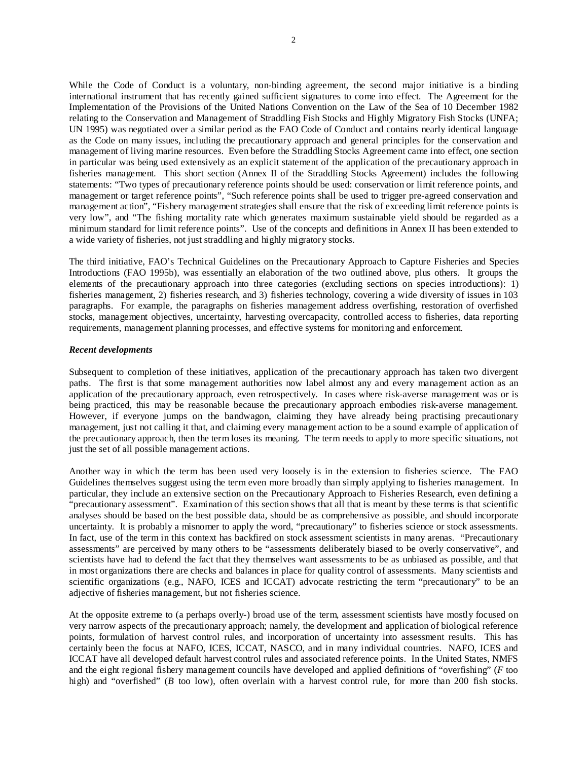While the Code of Conduct is a voluntary, non-binding agreement, the second major initiative is a binding international instrument that has recently gained sufficient signatures to come into effect. The Agreement for the Implementation of the Provisions of the United Nations Convention on the Law of the Sea of 10 December 1982 relating to the Conservation and Management of Straddling Fish Stocks and Highly Migratory Fish Stocks (UNFA; UN 1995) was negotiated over a similar period as the FAO Code of Conduct and contains nearly identical language as the Code on many issues, including the precautionary approach and general principles for the conservation and management of living marine resources. Even before the Straddling Stocks Agreement came into effect, one section in particular was being used extensively as an explicit statement of the application of the precautionary approach in fisheries management. This short section (Annex II of the Straddling Stocks Agreement) includes the following statements: "Two types of precautionary reference points should be used: conservation or limit reference points, and management or target reference points", "Such reference points shall be used to trigger pre-agreed conservation and management action", "Fishery management strategies shall ensure that the risk of exceeding limit reference points is very low", and "The fishing mortality rate which generates maximum sustainable yield should be regarded as a minimum standard for limit reference points". Use of the concepts and definitions in Annex II has been extended to a wide variety of fisheries, not just straddling and highly migratory stocks.

The third initiative, FAO's Technical Guidelines on the Precautionary Approach to Capture Fisheries and Species Introductions (FAO 1995b), was essentially an elaboration of the two outlined above, plus others. It groups the elements of the precautionary approach into three categories (excluding sections on species introductions): 1) fisheries management, 2) fisheries research, and 3) fisheries technology, covering a wide diversity of issues in 103 paragraphs. For example, the paragraphs on fisheries management address overfishing, restoration of overfished stocks, management objectives, uncertainty, harvesting overcapacity, controlled access to fisheries, data reporting requirements, management planning processes, and effective systems for monitoring and enforcement.

## *Recent developments*

Subsequent to completion of these initiatives, application of the precautionary approach has taken two divergent paths. The first is that some management authorities now label almost any and every management action as an application of the precautionary approach, even retrospectively. In cases where risk-averse management was or is being practiced, this may be reasonable because the precautionary approach embodies risk-averse management. However, if everyone jumps on the bandwagon, claiming they have already being practising precautionary management, just not calling it that, and claiming every management action to be a sound example of application of the precautionary approach, then the term loses its meaning. The term needs to apply to more specific situations, not just the set of all possible management actions.

Another way in which the term has been used very loosely is in the extension to fisheries science. The FAO Guidelines themselves suggest using the term even more broadly than simply applying to fisheries management. In particular, they include an extensive section on the Precautionary Approach to Fisheries Research, even defining a "precautionary assessment". Examination of this section shows that all that is meant by these terms is that scientific analyses should be based on the best possible data, should be as comprehensive as possible, and should incorporate uncertainty. It is probably a misnomer to apply the word, "precautionary" to fisheries science or stock assessments. In fact, use of the term in this context has backfired on stock assessment scientists in many arenas. "Precautionary assessments" are perceived by many others to be "assessments deliberately biased to be overly conservative", and scientists have had to defend the fact that they themselves want assessments to be as unbiased as possible, and that in most organizations there are checks and balances in place for quality control of assessments. Many scientists and scientific organizations (e.g., NAFO, ICES and ICCAT) advocate restricting the term "precautionary" to be an adjective of fisheries management, but not fisheries science.

At the opposite extreme to (a perhaps overly-) broad use of the term, assessment scientists have mostly focused on very narrow aspects of the precautionary approach; namely, the development and application of biological reference points, formulation of harvest control rules, and incorporation of uncertainty into assessment results. This has certainly been the focus at NAFO, ICES, ICCAT, NASCO, and in many individual countries. NAFO, ICES and ICCAT have all developed default harvest control rules and associated reference points. In the United States, NMFS and the eight regional fishery management councils have developed and applied definitions of "overfishing" (*F* too high) and "overfished" (*B* too low), often overlain with a harvest control rule, for more than 200 fish stocks.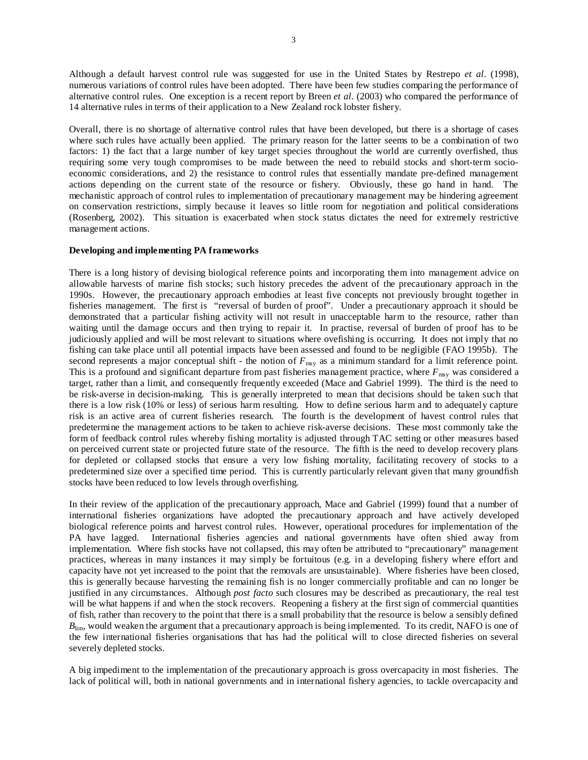Although a default harvest control rule was suggested for use in the United States by Restrepo *et al*. (1998), numerous variations of control rules have been adopted. There have been few studies comparing the performance of alternative control rules. One exception is a recent report by Breen *et al*. (2003) who compared the performance of 14 alternative rules in terms of their application to a New Zealand rock lobster fishery.

Overall, there is no shortage of alternative control rules that have been developed, but there is a shortage of cases where such rules have actually been applied. The primary reason for the latter seems to be a combination of two factors: 1) the fact that a large number of key target species throughout the world are currently overfished, thus requiring some very tough compromises to be made between the need to rebuild stocks and short-term socioeconomic considerations, and 2) the resistance to control rules that essentially mandate pre-defined management actions depending on the current state of the resource or fishery. Obviously, these go hand in hand. The mechanistic approach of control rules to implementation of precautionary management may be hindering agreement on conservation restrictions, simply because it leaves so little room for negotiation and political considerations (Rosenberg, 2002). This situation is exacerbated when stock status dictates the need for extremely restrictive management actions.

#### **Developing and implementing PA frameworks**

There is a long history of devising biological reference points and incorporating them into management advice on allowable harvests of marine fish stocks; such history precedes the advent of the precautionary approach in the 1990s. However, the precautionary approach embodies at least five concepts not previously brought together in fisheries management. The first is "reversal of burden of proof". Under a precautionary approach it should be demonstrated that a particular fishing activity will not result in unacceptable harm to the resource, rather than waiting until the damage occurs and then trying to repair it. In practise, reversal of burden of proof has to be judiciously applied and will be most relevant to situations where ovefishing is occurring. It does not imply that no fishing can take place until all potential impacts have been assessed and found to be negligible (FAO 1995b). The second represents a major conceptual shift - the notion of  $F_{\text{mw}}$  as a minimum standard for a limit reference point. This is a profound and significant departure from past fisheries management practice, where  $F_{\text{msy}}$  was considered a target, rather than a limit, and consequently frequently exceeded (Mace and Gabriel 1999). The third is the need to be risk-averse in decision-making. This is generally interpreted to mean that decisions should be taken such that there is a low risk (10% or less) of serious harm resulting. How to define serious harm and to adequately capture risk is an active area of current fisheries research. The fourth is the development of havest control rules that predetermine the management actions to be taken to achieve risk-averse decisions. These most commonly take the form of feedback control rules whereby fishing mortality is adjusted through TAC setting or other measures based on perceived current state or projected future state of the resource. The fifth is the need to develop recovery plans for depleted or collapsed stocks that ensure a very low fishing mortality, facilitating recovery of stocks to a predetermined size over a specified time period. This is currently particularly relevant given that many groundfish stocks have been reduced to low levels through overfishing.

In their review of the application of the precautionary approach, Mace and Gabriel (1999) found that a number of international fisheries organizations have adopted the precautionary approach and have actively developed biological reference points and harvest control rules. However, operational procedures for implementation of the PA have lagged. International fisheries agencies and national governments have often shied away from implementation. Where fish stocks have not collapsed, this may often be attributed to "precautionary" management practices, whereas in many instances it may simply be fortuitous (e.g. in a developing fishery where effort and capacity have not yet increased to the point that the removals are unsustainable). Where fisheries have been closed, this is generally because harvesting the remaining fish is no longer commercially profitable and can no longer be justified in any circumstances. Although *post facto* such closures may be described as precautionary, the real test will be what happens if and when the stock recovers. Reopening a fishery at the first sign of commercial quantities of fish, rather than recovery to the point that there is a small probability that the resource is below a sensibly defined  $B_{\text{lim}}$ , would weaken the argument that a precautionary approach is being implemented. To its credit, NAFO is one of the few international fisheries organisations that has had the political will to close directed fisheries on several severely depleted stocks.

A big impediment to the implementation of the precautionary approach is gross overcapacity in most fisheries. The lack of political will, both in national governments and in international fishery agencies, to tackle overcapacity and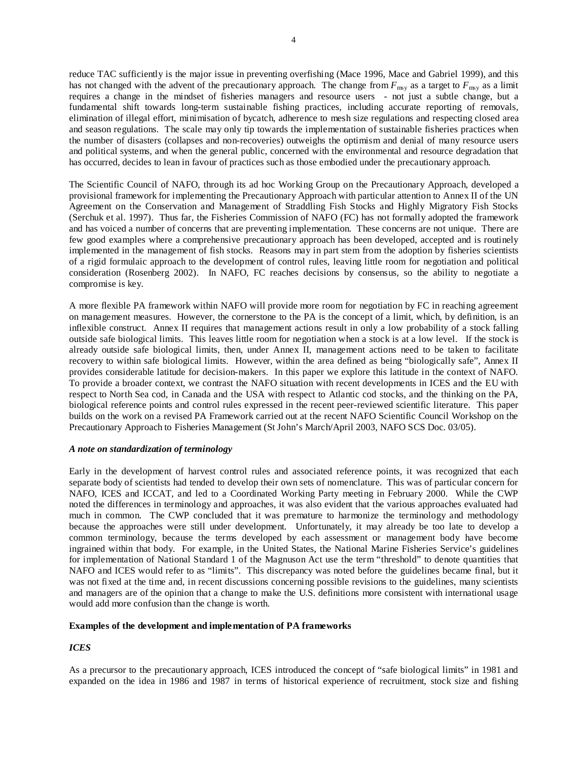reduce TAC sufficiently is the major issue in preventing overfishing (Mace 1996, Mace and Gabriel 1999), and this has not changed with the advent of the precautionary approach. The change from  $F_{\text{msy}}$  as a target to  $F_{\text{msy}}$  as a limit requires a change in the mindset of fisheries managers and resource users - not just a subtle change, but a fundamental shift towards long-term sustainable fishing practices, including accurate reporting of removals, elimination of illegal effort, minimisation of bycatch, adherence to mesh size regulations and respecting closed area and season regulations. The scale may only tip towards the implementation of sustainable fisheries practices when the number of disasters (collapses and non-recoveries) outweighs the optimism and denial of many resource users and political systems, and when the general public, concerned with the environmental and resource degradation that has occurred, decides to lean in favour of practices such as those embodied under the precautionary approach.

The Scientific Council of NAFO, through its ad hoc Working Group on the Precautionary Approach, developed a provisional framework for implementing the Precautionary Approach with particular attention to Annex II of the UN Agreement on the Conservation and Management of Straddling Fish Stocks and Highly Migratory Fish Stocks (Serchuk et al. 1997). Thus far, the Fisheries Commission of NAFO (FC) has not formally adopted the framework and has voiced a number of concerns that are preventing implementation. These concerns are not unique. There are few good examples where a comprehensive precautionary approach has been developed, accepted and is routinely implemented in the management of fish stocks. Reasons may in part stem from the adoption by fisheries scientists of a rigid formulaic approach to the development of control rules, leaving little room for negotiation and political consideration (Rosenberg 2002). In NAFO, FC reaches decisions by consensus, so the ability to negotiate a compromise is key.

A more flexible PA framework within NAFO will provide more room for negotiation by FC in reaching agreement on management measures. However, the cornerstone to the PA is the concept of a limit, which, by definition, is an inflexible construct. Annex II requires that management actions result in only a low probability of a stock falling outside safe biological limits. This leaves little room for negotiation when a stock is at a low level. If the stock is already outside safe biological limits, then, under Annex II, management actions need to be taken to facilitate recovery to within safe biological limits. However, within the area defined as being "biologically safe", Annex II provides considerable latitude for decision-makers. In this paper we explore this latitude in the context of NAFO. To provide a broader context, we contrast the NAFO situation with recent developments in ICES and the EU with respect to North Sea cod, in Canada and the USA with respect to Atlantic cod stocks, and the thinking on the PA, biological reference points and control rules expressed in the recent peer-reviewed scientific literature. This paper builds on the work on a revised PA Framework carried out at the recent NAFO Scientific Council Workshop on the Precautionary Approach to Fisheries Management (St John's March/April 2003, NAFO SCS Doc. 03/05).

## *A note on standardization of terminology*

Early in the development of harvest control rules and associated reference points, it was recognized that each separate body of scientists had tended to develop their own sets of nomenclature. This was of particular concern for NAFO, ICES and ICCAT, and led to a Coordinated Working Party meeting in February 2000. While the CWP noted the differences in terminology and approaches, it was also evident that the various approaches evaluated had much in common. The CWP concluded that it was premature to harmonize the terminology and methodology because the approaches were still under development. Unfortunately, it may already be too late to develop a common terminology, because the terms developed by each assessment or management body have become ingrained within that body. For example, in the United States, the National Marine Fisheries Service's guidelines for implementation of National Standard 1 of the Magnuson Act use the term "threshold" to denote quantities that NAFO and ICES would refer to as "limits". This discrepancy was noted before the guidelines became final, but it was not fixed at the time and, in recent discussions concerning possible revisions to the guidelines, many scientists and managers are of the opinion that a change to make the U.S. definitions more consistent with international usage would add more confusion than the change is worth.

## **Examples of the development and implementation of PA frameworks**

## *ICES*

As a precursor to the precautionary approach, ICES introduced the concept of "safe biological limits" in 1981 and expanded on the idea in 1986 and 1987 in terms of historical experience of recruitment, stock size and fishing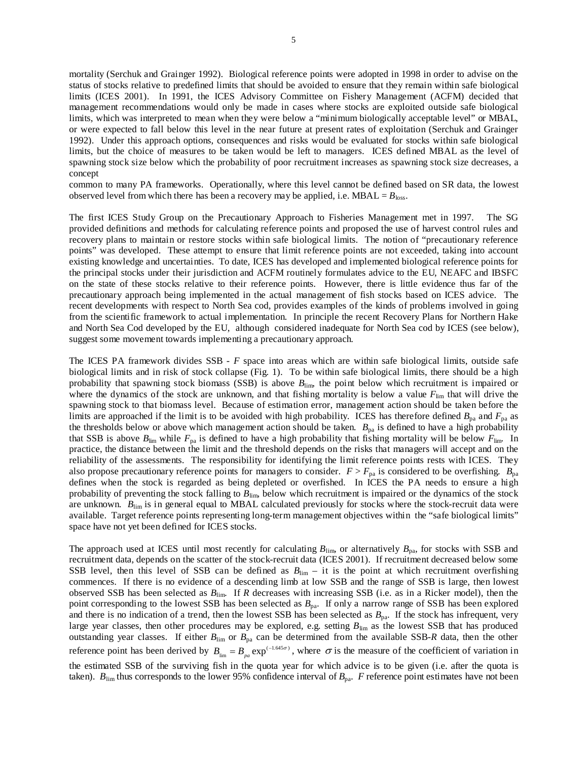mortality (Serchuk and Grainger 1992). Biological reference points were adopted in 1998 in order to advise on the status of stocks relative to predefined limits that should be avoided to ensure that they remain within safe biological limits (ICES 2001). In 1991, the ICES Advisory Committee on Fishery Management (ACFM) decided that management recommendations would only be made in cases where stocks are exploited outside safe biological limits, which was interpreted to mean when they were below a "minimum biologically acceptable level" or MBAL, or were expected to fall below this level in the near future at present rates of exploitation (Serchuk and Grainger 1992). Under this approach options, consequences and risks would be evaluated for stocks within safe biological limits, but the choice of measures to be taken would be left to managers. ICES defined MBAL as the level of spawning stock size below which the probability of poor recruitment increases as spawning stock size decreases, a concept

common to many PA frameworks. Operationally, where this level cannot be defined based on SR data, the lowest observed level from which there has been a recovery may be applied, i.e.  $MBAL = B<sub>loss</sub>$ .

The first ICES Study Group on the Precautionary Approach to Fisheries Management met in 1997. The SG provided definitions and methods for calculating reference points and proposed the use of harvest control rules and recovery plans to maintain or restore stocks within safe biological limits. The notion of "precautionary reference points" was developed. These attempt to ensure that limit reference points are not exceeded, taking into account existing knowledge and uncertainties. To date, ICES has developed and implemented biological reference points for the principal stocks under their jurisdiction and ACFM routinely formulates advice to the EU, NEAFC and IBSFC on the state of these stocks relative to their reference points. However, there is little evidence thus far of the precautionary approach being implemented in the actual management of fish stocks based on ICES advice. The recent developments with respect to North Sea cod, provides examples of the kinds of problems involved in going from the scientific framework to actual implementation. In principle the recent Recovery Plans for Northern Hake and North Sea Cod developed by the EU, although considered inadequate for North Sea cod by ICES (see below), suggest some movement towards implementing a precautionary approach.

The ICES PA framework divides SSB - *F* space into areas which are within safe biological limits, outside safe biological limits and in risk of stock collapse (Fig. 1). To be within safe biological limits, there should be a high probability that spawning stock biomass (SSB) is above *B*lim, the point below which recruitment is impaired or where the dynamics of the stock are unknown, and that fishing mortality is below a value  $F_{\text{lim}}$  that will drive the spawning stock to that biomass level. Because of estimation error, management action should be taken before the limits are approached if the limit is to be avoided with high probability. ICES has therefore defined  $B_{pa}$  and  $F_{pa}$  as the thresholds below or above which management action should be taken.  $B_{pa}$  is defined to have a high probability that SSB is above  $B_{\text{lim}}$  while  $F_{\text{pa}}$  is defined to have a high probability that fishing mortality will be below  $F_{\text{lim}}$ . In practice, the distance between the limit and the threshold depends on the risks that managers will accept and on the reliability of the assessments. The responsibility for identifying the limit reference points rests with ICES. They also propose precautionary reference points for managers to consider.  $F > F_{pa}$  is considered to be overfishing.  $B_{pa}$ defines when the stock is regarded as being depleted or overfished. In ICES the PA needs to ensure a high probability of preventing the stock falling to *B*lim, below which recruitment is impaired or the dynamics of the stock are unknown.  $B_{\text{lim}}$  is in general equal to MBAL calculated previously for stocks where the stock-recruit data were available. Target reference points representing long-term management objectives within the "safe biological limits" space have not yet been defined for ICES stocks.

The approach used at ICES until most recently for calculating  $B_{\text{lim}}$ , or alternatively  $B_{\text{pa}}$ , for stocks with SSB and recruitment data, depends on the scatter of the stock-recruit data (ICES 2001). If recruitment decreased below some SSB level, then this level of SSB can be defined as  $B_{\text{lim}} - i$  it is the point at which recruitment overfishing commences. If there is no evidence of a descending limb at low SSB and the range of SSB is large, then lowest observed SSB has been selected as *B*lim. If *R* decreases with increasing SSB (i.e. as in a Ricker model), then the point corresponding to the lowest SSB has been selected as  $B_{pa}$ . If only a narrow range of SSB has been explored and there is no indication of a trend, then the lowest SSB has been selected as  $B_{pa}$ . If the stock has infrequent, very large year classes, then other procedures may be explored, e.g. setting  $B_{\text{lim}}$  as the lowest SSB that has produced outstanding year classes. If either  $B_{\text{lim}}$  or  $B_{\text{pa}}$  can be determined from the available SSB-*R* data, then the other reference point has been derived by  $B_{\text{lim}} = B_{pa} \exp^{(-1.645\sigma)}$ , where  $\sigma$  is the measure of the coefficient of variation in the estimated SSB of the surviving fish in the quota year for which advice is to be given (i.e. after the quota is taken).  $B_{\text{lim}}$  thus corresponds to the lower 95% confidence interval of  $B_{\text{pa}}$ . *F* reference point estimates have not been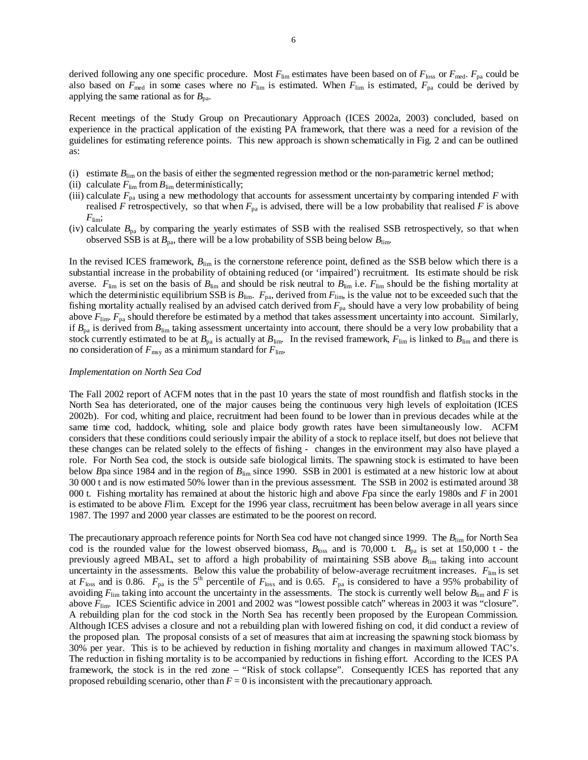derived following any one specific procedure. Most  $F_{\text{lim}}$  estimates have been based on of  $F_{\text{loss}}$  or  $F_{\text{med}}$ .  $F_{\text{pa}}$  could be also based on  $F_{\text{med}}$  in some cases where no  $F_{\text{lim}}$  is estimated. When  $F_{\text{lim}}$  is estimated,  $F_{\text{pa}}$  could be derived by applying the same rational as for  $B_{\text{pa}}$ .

Recent meetings of the Study Group on Precautionary Approach (ICES 2002a, 2003) concluded, based on experience in the practical application of the existing PA framework, that there was a need for a revision of the guidelines for estimating reference points. This new approach is shown schematically in Fig. 2 and can be outlined as:

- (i) estimate  $B_{\text{lim}}$  on the basis of either the segmented regression method or the non-parametric kernel method;
- (ii) calculate  $F_{\text{lim}}$  from  $B_{\text{lim}}$  deterministically;
- (iii) calculate  $F_{pa}$  using a new methodology that accounts for assessment uncertainty by comparing intended  $F$  with realised *F* retrospectively, so that when  $F_{pa}$  is advised, there will be a low probability that realised *F* is above  $F_{\text{lim}}$ ;
- (iv) calculate *B*pa by comparing the yearly estimates of SSB with the realised SSB retrospectively, so that when observed SSB is at  $B_{pa}$ , there will be a low probability of SSB being below  $B_{lim}$ .

In the revised ICES framework,  $B_{\text{lim}}$  is the cornerstone reference point, defined as the SSB below which there is a substantial increase in the probability of obtaining reduced (or 'impaired') recruitment. Its estimate should be risk averse.  $F_{\text{lim}}$  is set on the basis of  $B_{\text{lim}}$  and should be risk neutral to  $B_{\text{lim}}$  i.e.  $F_{\text{lim}}$  should be the fishing mortality at which the deterministic equilibrium SSB is  $B_{\text{lim}}$ .  $F_{\text{pa}}$ , derived from  $F_{\text{lim}}$ , is the value not to be exceeded such that the fishing mortality actually realised by an advised catch derived from  $F_{pa}$  should have a very low probability of being above *F*lim. *F*pa should therefore be estimated by a method that takes assessment uncertainty into account. Similarly, if  $B_{pa}$  is derived from  $B_{lim}$  taking assessment uncertainty into account, there should be a very low probability that a stock currently estimated to be at  $B_{pa}$  is actually at  $B_{lim}$ . In the revised framework,  $F_{lim}$  is linked to  $B_{lim}$  and there is no consideration of  $F_{\text{msy}}$  as a minimum standard for  $F_{\text{lim}}$ .

#### *Implementation on North Sea Cod*

The Fall 2002 report of ACFM notes that in the past 10 years the state of most roundfish and flatfish stocks in the North Sea has deteriorated, one of the major causes being the continuous very high levels of exploitation (ICES 2002b). For cod, whiting and plaice, recruitment had been found to be lower than in previous decades while at the same time cod, haddock, whiting, sole and plaice body growth rates have been simultaneously low. ACFM considers that these conditions could seriously impair the ability of a stock to replace itself, but does not believe that these changes can be related solely to the effects of fishing - changes in the environment may also have played a role. For North Sea cod, the stock is outside safe biological limits. The spawning stock is estimated to have been below *B*pa since 1984 and in the region of *B*lim since 1990. SSB in 2001 is estimated at a new historic low at about 30 000 t and is now estimated 50% lower than in the previous assessment. The SSB in 2002 is estimated around 38 000 t. Fishing mortality has remained at about the historic high and above *F*pa since the early 1980s and *F* in 2001 is estimated to be above *F*lim. Except for the 1996 year class, recruitment has been below average in all years since 1987. The 1997 and 2000 year classes are estimated to be the poorest on record.

The precautionary approach reference points for North Sea cod have not changed since 1999. The *B*lim for North Sea cod is the rounded value for the lowest observed biomass,  $B_{\text{loss}}$  and is 70,000 t.  $B_{\text{pa}}$  is set at 150,000 t - the previously agreed MBAL, set to afford a high probability of maintaining SSB above  $B_{\text{lim}}$  taking into account uncertainty in the assessments. Below this value the probability of below-average recruitment increases.  $F_{\text{lim}}$  is set at  $F_{\text{loss}}$  and is 0.86.  $F_{\text{pa}}$  is the 5<sup>th</sup> percentile of  $F_{\text{loss}}$  and is 0.65.  $F_{\text{pa}}$  is considered to have a 95% probability of avoiding  $F_{\text{lim}}$  taking into account the uncertainty in the assessments. The stock is currently well below  $B_{\text{lim}}$  and *F* is above *F*lim. ICES Scientific advice in 2001 and 2002 was "lowest possible catch" whereas in 2003 it was "closure". A rebuilding plan for the cod stock in the North Sea has recently been proposed by the European Commission. Although ICES advises a closure and not a rebuilding plan with lowered fishing on cod, it did conduct a review of the proposed plan. The proposal consists of a set of measures that aim at increasing the spawning stock biomass by 30% per year. This is to be achieved by reduction in fishing mortality and changes in maximum allowed TAC's. The reduction in fishing mortality is to be accompanied by reductions in fishing effort. According to the ICES PA framework, the stock is in the red zone – "Risk of stock collapse". Consequently ICES has reported that any proposed rebuilding scenario, other than *F* = 0 is inconsistent with the precautionary approach.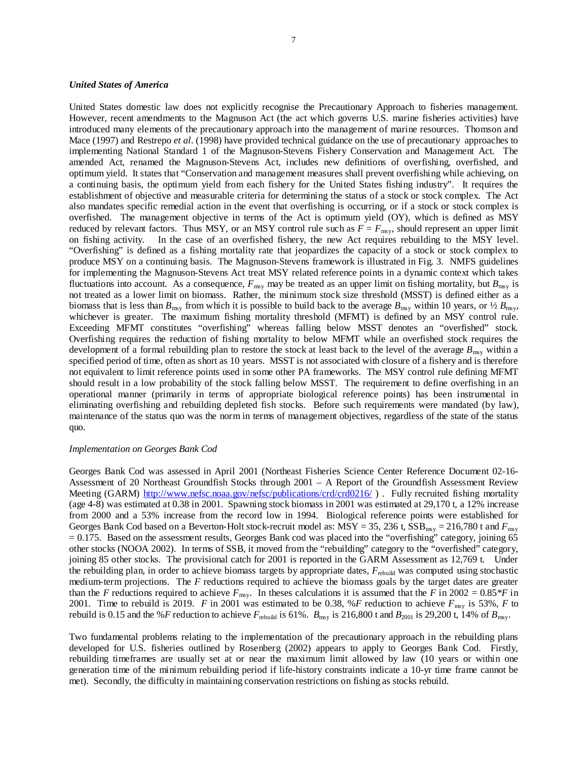## *United States of America*

United States domestic law does not explicitly recognise the Precautionary Approach to fisheries management. However, recent amendments to the Magnuson Act (the act which governs U.S. marine fisheries activities) have introduced many elements of the precautionary approach into the management of marine resources. Thomson and Mace (1997) and Restrepo *et al*. (1998) have provided technical guidance on the use of precautionary approaches to implementing National Standard 1 of the Magnuson-Stevens Fishery Conservation and Management Act. The amended Act, renamed the Magnuson-Stevens Act, includes new definitions of overfishing, overfished, and optimum yield. It states that "Conservation and management measures shall prevent overfishing while achieving, on a continuing basis, the optimum yield from each fishery for the United States fishing industry". It requires the establishment of objective and measurable criteria for determining the status of a stock or stock complex. The Act also mandates specific remedial action in the event that overfishing is occurring, or if a stock or stock complex is overfished. The management objective in terms of the Act is optimum yield (OY), which is defined as MSY reduced by relevant factors. Thus MSY, or an MSY control rule such as  $F = F_{\text{msy}}$ , should represent an upper limit on fishing activity. In the case of an overfished fishery, the new Act requires rebuilding to the MSY level. "Overfishing" is defined as a fishing mortality rate that jeopardizes the capacity of a stock or stock complex to produce MSY on a continuing basis. The Magnuson-Stevens framework is illustrated in Fig. 3. NMFS guidelines for implementing the Magnuson-Stevens Act treat MSY related reference points in a dynamic context which takes fluctuations into account. As a consequence,  $F_{\text{msy}}$  may be treated as an upper limit on fishing mortality, but  $B_{\text{msy}}$  is not treated as a lower limit on biomass. Rather, the minimum stock size threshold (MSST) is defined either as a biomass that is less than  $B_{\text{msy}}$  from which it is possible to build back to the average  $B_{\text{msy}}$  within 10 years, or  $\frac{1}{2} B_{\text{msy}}$ whichever is greater. The maximum fishing mortality threshold (MFMT) is defined by an MSY control rule. Exceeding MFMT constitutes "overfishing" whereas falling below MSST denotes an "overfished" stock. Overfishing requires the reduction of fishing mortality to below MFMT while an overfished stock requires the development of a formal rebuilding plan to restore the stock at least back to the level of the average  $B_{\text{msy}}$  within a specified period of time, often as short as 10 years. MSST is not associated with closure of a fishery and is therefore not equivalent to limit reference points used in some other PA frameworks. The MSY control rule defining MFMT should result in a low probability of the stock falling below MSST. The requirement to define overfishing in an operational manner (primarily in terms of appropriate biological reference points) has been instrumental in eliminating overfishing and rebuilding depleted fish stocks. Before such requirements were mandated (by law), maintenance of the status quo was the norm in terms of management objectives, regardless of the state of the status quo.

#### *Implementation on Georges Bank Cod*

Georges Bank Cod was assessed in April 2001 (Northeast Fisheries Science Center Reference Document 02-16- Assessment of 20 Northeast Groundfish Stocks through 2001 – A Report of the Groundfish Assessment Review Meeting (GARM) http://www.nefsc.noaa.gov/nefsc/publications/crd/crd0216/). Fully recruited fishing mortality (age 4-8) was estimated at 0.38 in 2001. Spawning stock biomass in 2001 was estimated at 29,170 t, a 12% increase from 2000 and a 53% increase from the record low in 1994. Biological reference points were established for Georges Bank Cod based on a Beverton-Holt stock-recruit model as:  $MSY = 35$ , 236 t,  $SSB_{\text{msy}} = 216,780$  t and  $F_{\text{msy}}$  $= 0.175$ . Based on the assessment results, Georges Bank cod was placed into the "overfishing" category, joining 65 other stocks (NOOA 2002). In terms of SSB, it moved from the "rebuilding" category to the "overfished" category, joining 85 other stocks. The provisional catch for 2001 is reported in the GARM Assessment as 12,769 t. Under the rebuilding plan, in order to achieve biomass targets by appropriate dates, *F*rebuild was computed using stochastic medium-term projections. The *F* reductions required to achieve the biomass goals by the target dates are greater than the *F* reductions required to achieve  $F_{\text{msy}}$ . In theses calculations it is assumed that the *F* in 2002 = 0.85\**F* in 2001. Time to rebuild is 2019. *F* in 2001 was estimated to be 0.38, %*F* reduction to achieve  $F_{\text{msy}}$  is 53%, *F* to rebuild is 0.15 and the %*F* reduction to achieve  $F_{\text{rebuild}}$  is 61%.  $B_{\text{msg}}$  is 216,800 t and  $B_{2001}$  is 29,200 t, 14% of  $B_{\text{msg}}$ .

Two fundamental problems relating to the implementation of the precautionary approach in the rebuilding plans developed for U.S. fisheries outlined by Rosenberg (2002) appears to apply to Georges Bank Cod. Firstly, rebuilding timeframes are usually set at or near the maximum limit allowed by law (10 years or within one generation time of the minimum rebuilding period if life-history constraints indicate a 10-yr time frame cannot be met). Secondly, the difficulty in maintaining conservation restrictions on fishing as stocks rebuild.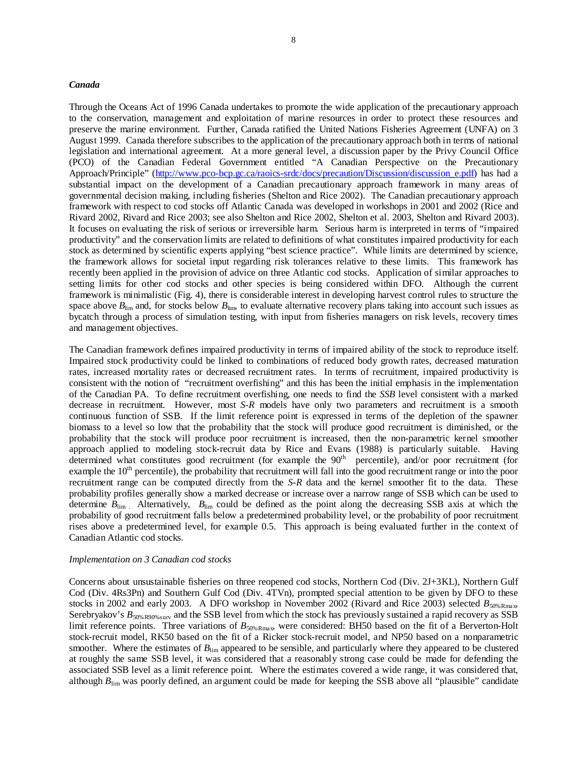#### *Canada*

Through the Oceans Act of 1996 Canada undertakes to promote the wide application of the precautionary approach to the conservation, management and exploitation of marine resources in order to protect these resources and preserve the marine environment. Further, Canada ratified the United Nations Fisheries Agreement (UNFA) on 3 August 1999. Canada therefore subscribes to the application of the precautionary approach both in terms of national legislation and international agreement. At a more general level, a discussion paper by the Privy Council Office (PCO) of the Canadian Federal Government entitled "A Canadian Perspective on the Precautionary Approach/Principle" (http://www.pco-bcp.gc.ca/raoics-srdc/docs/precaution/Discussion/discussion\_e.pdf) has had a substantial impact on the development of a Canadian precautionary approach framework in many areas of governmental decision making, including fisheries (Shelton and Rice 2002). The Canadian precautionary approach framework with respect to cod stocks off Atlantic Canada was developed in workshops in 2001 and 2002 (Rice and Rivard 2002, Rivard and Rice 2003; see also Shelton and Rice 2002, Shelton et al. 2003, Shelton and Rivard 2003). It focuses on evaluating the risk of serious or irreversible harm. Serious harm is interpreted in terms of "impaired productivity" and the conservation limits are related to definitions of what constitutes impaired productivity for each stock as determined by scientific experts applying "best science practice". While limits are determined by science, the framework allows for societal input regarding risk tolerances relative to these limits. This framework has recently been applied in the provision of advice on three Atlantic cod stocks. Application of similar approaches to setting limits for other cod stocks and other species is being considered within DFO. Although the current framework is minimalistic (Fig. 4), there is considerable interest in developing harvest control rules to structure the space above  $B_{\text{lim}}$  and, for stocks below  $B_{\text{lim}}$ , to evaluate alternative recovery plans taking into account such issues as bycatch through a process of simulation testing, with input from fisheries managers on risk levels, recovery times and management objectives.

The Canadian framework defines impaired productivity in terms of impaired ability of the stock to reproduce itself. Impaired stock productivity could be linked to combinations of reduced body growth rates, decreased maturation rates, increased mortality rates or decreased recruitment rates. In terms of recruitment, impaired productivity is consistent with the notion of "recruitment overfishing" and this has been the initial emphasis in the implementation of the Canadian PA. To define recruitment overfishing, one needs to find the *SSB* level consistent with a marked decrease in recruitment. However, most *S-R* models have only two parameters and recruitment is a smooth continuous function of SSB. If the limit reference point is expressed in terms of the depletion of the spawner biomass to a level so low that the probability that the stock will produce good recruitment is diminished, or the probability that the stock will produce poor recruitment is increased, then the non-parametric kernel smoother approach applied to modeling stock-recruit data by Rice and Evans (1988) is particularly suitable. Having determined what constitutes good recruitment (for example the 90<sup>th</sup> percentile), and/or poor recruitment (for example the  $10<sup>th</sup>$  percentile), the probability that recruitment will fall into the good recruitment range or into the poor recruitment range can be computed directly from the *S-R* data and the kernel smoother fit to the data. These probability profiles generally show a marked decrease or increase over a narrow range of SSB which can be used to determine  $B_{\text{lim}}$ . Alternatively,  $B_{\text{lim}}$  could be defined as the point along the decreasing SSB axis at which the probability of good recruitment falls below a predetermined probability level, or the probability of poor recruitment rises above a predetermined level, for example 0.5. This approach is being evaluated further in the context of Canadian Atlantic cod stocks.

#### *Implementation on 3 Canadian cod stocks*

Concerns about unsustainable fisheries on three reopened cod stocks, Northern Cod (Div. 2J+3KL), Northern Gulf Cod (Div. 4Rs3Pn) and Southern Gulf Cod (Div. 4TVn), prompted special attention to be given by DFO to these stocks in 2002 and early 2003. A DFO workshop in November 2002 (Rivard and Rice 2003) selected  $B_{50\%R\text{max}}$ , Serebryakov's  $B_{50\%80\%80W}$  and the SSB level from which the stock has previously sustained a rapid recovery as SSB limit reference points. Three variations of  $B_{50\%R_{\text{max}}}$ , were considered: BH50 based on the fit of a Berverton-Holt stock-recruit model, RK50 based on the fit of a Ricker stock-recruit model, and NP50 based on a nonparametric smoother. Where the estimates of  $B_{\text{lim}}$  appeared to be sensible, and particularly where they appeared to be clustered at roughly the same SSB level, it was considered that a reasonably strong case could be made for defending the associated SSB level as a limit reference point. Where the estimates covered a wide range, it was considered that, although  $B_{\text{lim}}$  was poorly defined, an argument could be made for keeping the SSB above all "plausible" candidate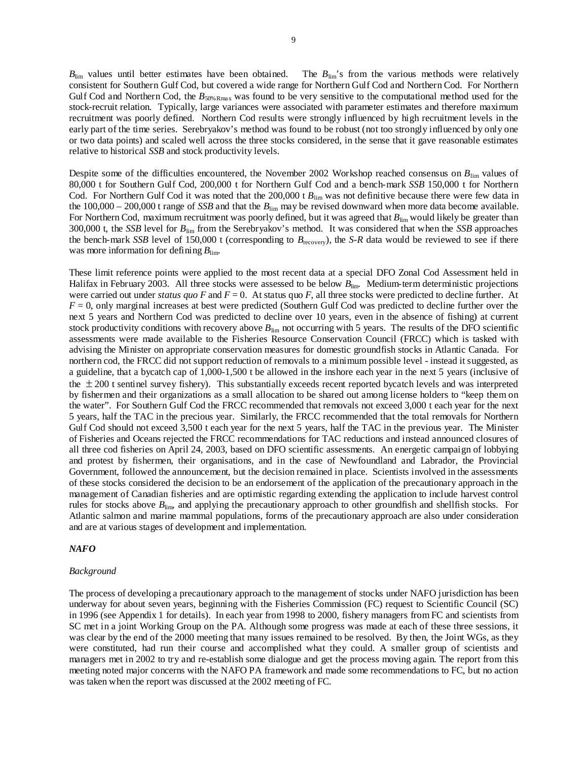$B_{\text{lim}}$  values until better estimates have been obtained. The  $B_{\text{lim}}$ 's from the various methods were relatively consistent for Southern Gulf Cod, but covered a wide range for Northern Gulf Cod and Northern Cod. For Northern Gulf Cod and Northern Cod, the  $B_{50\%R\text{max}}$  was found to be very sensitive to the computational method used for the stock-recruit relation. Typically, large variances were associated with parameter estimates and therefore maximum recruitment was poorly defined. Northern Cod results were strongly influenced by high recruitment levels in the early part of the time series. Serebryakov's method was found to be robust (not too strongly influenced by only one or two data points) and scaled well across the three stocks considered, in the sense that it gave reasonable estimates relative to historical *SSB* and stock productivity levels.

Despite some of the difficulties encountered, the November 2002 Workshop reached consensus on *B*lim values of 80,000 t for Southern Gulf Cod, 200,000 t for Northern Gulf Cod and a bench-mark *SSB* 150,000 t for Northern Cod. For Northern Gulf Cod it was noted that the 200,000 t  $B_{\text{lim}}$  was not definitive because there were few data in the  $100,000 - 200,000$  t range of *SSB* and that the  $B_{\text{lim}}$  may be revised downward when more data become available. For Northern Cod, maximum recruitment was poorly defined, but it was agreed that  $B_{\text{lim}}$  would likely be greater than 300,000 t, the *SSB* level for *B*lim from the Serebryakov's method. It was considered that when the *SSB* approaches the bench-mark *SSB* level of 150,000 t (corresponding to  $B_{\text{recovery}}$ ), the *S-R* data would be reviewed to see if there was more information for defining  $B_{\text{lim}}$ .

These limit reference points were applied to the most recent data at a special DFO Zonal Cod Assessment held in Halifax in February 2003. All three stocks were assessed to be below  $B_{\text{lim}}$ . Medium-term deterministic projections were carried out under *status quo F* and  $F = 0$ . At status quo *F*, all three stocks were predicted to decline further. At  $F = 0$ , only marginal increases at best were predicted (Southern Gulf Cod was predicted to decline further over the next 5 years and Northern Cod was predicted to decline over 10 years, even in the absence of fishing) at current stock productivity conditions with recovery above  $B_{\text{lim}}$  not occurring with 5 years. The results of the DFO scientific assessments were made available to the Fisheries Resource Conservation Council (FRCC) which is tasked with advising the Minister on appropriate conservation measures for domestic groundfish stocks in Atlantic Canada. For northern cod, the FRCC did not support reduction of removals to a minimum possible level - instead it suggested, as a guideline, that a bycatch cap of 1,000-1,500 t be allowed in the inshore each year in the next 5 years (inclusive of the  $\pm$  200 t sentinel survey fishery). This substantially exceeds recent reported bycatch levels and was interpreted by fishermen and their organizations as a small allocation to be shared out among license holders to "keep them on the water". For Southern Gulf Cod the FRCC recommended that removals not exceed 3,000 t each year for the next 5 years, half the TAC in the precious year. Similarly, the FRCC recommended that the total removals for Northern Gulf Cod should not exceed 3,500 t each year for the next 5 years, half the TAC in the previous year. The Minister of Fisheries and Oceans rejected the FRCC recommendations for TAC reductions and instead announced closures of all three cod fisheries on April 24, 2003, based on DFO scientific assessments. An energetic campaign of lobbying and protest by fishermen, their organisations, and in the case of Newfoundland and Labrador, the Provincial Government, followed the announcement, but the decision remained in place. Scientists involved in the assessments of these stocks considered the decision to be an endorsement of the application of the precautionary approach in the management of Canadian fisheries and are optimistic regarding extending the application to include harvest control rules for stocks above *B*lim, and applying the precautionary approach to other groundfish and shellfish stocks. For Atlantic salmon and marine mammal populations, forms of the precautionary approach are also under consideration and are at various stages of development and implementation.

#### *NAFO*

#### *Background*

The process of developing a precautionary approach to the management of stocks under NAFO jurisdiction has been underway for about seven years, beginning with the Fisheries Commission (FC) request to Scientific Council (SC) in 1996 (see Appendix 1 for details). In each year from 1998 to 2000, fishery managers from FC and scientists from SC met in a joint Working Group on the PA. Although some progress was made at each of these three sessions, it was clear by the end of the 2000 meeting that many issues remained to be resolved. By then, the Joint WGs, as they were constituted, had run their course and accomplished what they could. A smaller group of scientists and managers met in 2002 to try and re-establish some dialogue and get the process moving again. The report from this meeting noted major concerns with the NAFO PA framework and made some recommendations to FC, but no action was taken when the report was discussed at the 2002 meeting of FC.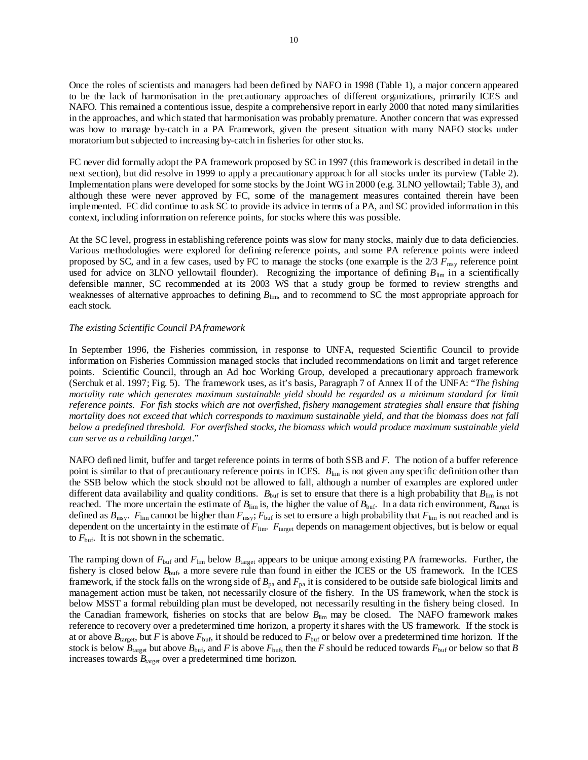Once the roles of scientists and managers had been defined by NAFO in 1998 (Table 1), a major concern appeared to be the lack of harmonisation in the precautionary approaches of different organizations, primarily ICES and NAFO. This remained a contentious issue, despite a comprehensive report in early 2000 that noted many similarities in the approaches, and which stated that harmonisation was probably premature. Another concern that was expressed was how to manage by-catch in a PA Framework, given the present situation with many NAFO stocks under moratorium but subjected to increasing by-catch in fisheries for other stocks.

FC never did formally adopt the PA framework proposed by SC in 1997 (this framework is described in detail in the next section), but did resolve in 1999 to apply a precautionary approach for all stocks under its purview (Table 2). Implementation plans were developed for some stocks by the Joint WG in 2000 (e.g. 3LNO yellowtail; Table 3), and although these were never approved by FC, some of the management measures contained therein have been implemented. FC did continue to ask SC to provide its advice in terms of a PA, and SC provided information in this context, including information on reference points, for stocks where this was possible.

At the SC level, progress in establishing reference points was slow for many stocks, mainly due to data deficiencies. Various methodologies were explored for defining reference points, and some PA reference points were indeed proposed by SC, and in a few cases, used by FC to manage the stocks (one example is the 2/3 *F*msy reference point used for advice on 3LNO yellowtail flounder). Recognizing the importance of defining  $B_{\text{lim}}$  in a scientifically defensible manner, SC recommended at its 2003 WS that a study group be formed to review strengths and weaknesses of alternative approaches to defining  $B_{\text{lim}}$ , and to recommend to SC the most appropriate approach for each stock.

#### *The existing Scientific Council PA framework*

In September 1996, the Fisheries commission, in response to UNFA, requested Scientific Council to provide information on Fisheries Commission managed stocks that included recommendations on limit and target reference points. Scientific Council, through an Ad hoc Working Group, developed a precautionary approach framework (Serchuk et al. 1997; Fig. 5). The framework uses, as it's basis, Paragraph 7 of Annex II of the UNFA: "*The fishing mortality rate which generates maximum sustainable yield should be regarded as a minimum standard for limit reference points. For fish stocks which are not overfished, fishery management strategies shall ensure that fishing mortality does not exceed that which corresponds to maximum sustainable yield, and that the biomass does not fall below a predefined threshold. For overfished stocks, the biomass which would produce maximum sustainable yield can serve as a rebuilding target*."

NAFO defined limit, buffer and target reference points in terms of both SSB and *F*. The notion of a buffer reference point is similar to that of precautionary reference points in ICES.  $B_{\text{lim}}$  is not given any specific definition other than the SSB below which the stock should not be allowed to fall, although a number of examples are explored under different data availability and quality conditions.  $B_{\text{buf}}$  is set to ensure that there is a high probability that  $B_{\text{lim}}$  is not reached. The more uncertain the estimate of  $B_{\text{lim}}$  is, the higher the value of  $B_{\text{buf}}$ . In a data rich environment,  $B_{\text{target}}$  is defined as  $B_{\text{msy}}$ .  $F_{\text{lim}}$  cannot be higher than  $F_{\text{msy}}$ ;  $F_{\text{buf}}$  is set to ensure a high probability that  $F_{\text{lim}}$  is not reached and is dependent on the uncertainty in the estimate of  $F_{\text{lim}}$ .  $F_{\text{target}}$  depends on management objectives, but is below or equal to  $F_{\text{buf}}$ . It is not shown in the schematic.

The ramping down of  $F_{\text{buf}}$  and  $F_{\text{lim}}$  below  $B_{\text{target}}$  appears to be unique among existing PA frameworks. Further, the fishery is closed below  $B_{\text{buf}}$ , a more severe rule than found in either the ICES or the US framework. In the ICES framework, if the stock falls on the wrong side of  $B_{pa}$  and  $F_{pa}$  it is considered to be outside safe biological limits and management action must be taken, not necessarily closure of the fishery. In the US framework, when the stock is below MSST a formal rebuilding plan must be developed, not necessarily resulting in the fishery being closed. In the Canadian framework, fisheries on stocks that are below *B*lim may be closed. The NAFO framework makes reference to recovery over a predetermined time horizon, a property it shares with the US framework. If the stock is at or above  $B_{\text{target}}$ , but *F* is above  $F_{\text{buf}}$ , it should be reduced to  $F_{\text{buf}}$  or below over a predetermined time horizon. If the stock is below  $B_{\text{target}}$  but above  $B_{\text{buf}}$ , and *F* is above  $F_{\text{buf}}$ , then the *F* should be reduced towards  $F_{\text{buf}}$  or below so that *B* increases towards  $B<sub>target</sub>$  over a predetermined time horizon.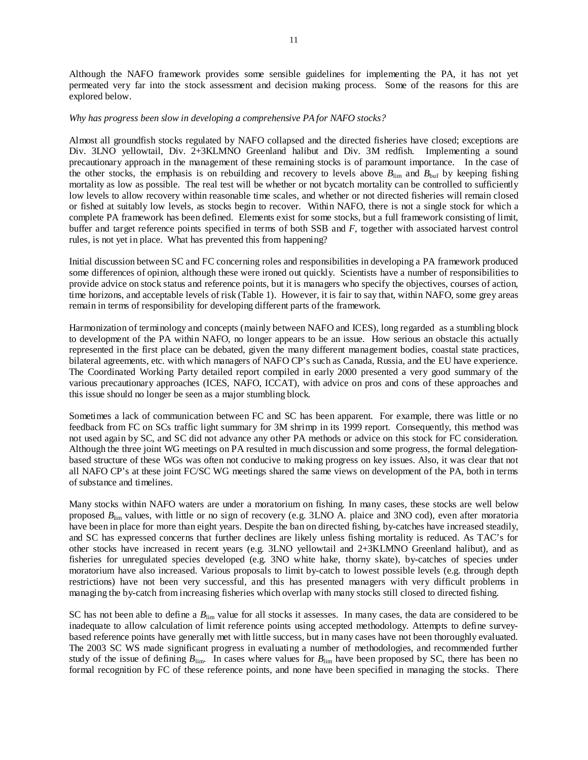Although the NAFO framework provides some sensible guidelines for implementing the PA, it has not yet permeated very far into the stock assessment and decision making process. Some of the reasons for this are explored below.

#### *Why has progress been slow in developing a comprehensive PA for NAFO stocks?*

Almost all groundfish stocks regulated by NAFO collapsed and the directed fisheries have closed; exceptions are Div. 3LNO yellowtail, Div. 2+3KLMNO Greenland halibut and Div. 3M redfish. Implementing a sound precautionary approach in the management of these remaining stocks is of paramount importance. In the case of the other stocks, the emphasis is on rebuilding and recovery to levels above  $B_{\text{lim}}$  and  $B_{\text{buf}}$  by keeping fishing mortality as low as possible. The real test will be whether or not bycatch mortality can be controlled to sufficiently low levels to allow recovery within reasonable time scales, and whether or not directed fisheries will remain closed or fished at suitably low levels, as stocks begin to recover. Within NAFO, there is not a single stock for which a complete PA framework has been defined. Elements exist for some stocks, but a full framework consisting of limit, buffer and target reference points specified in terms of both SSB and *F*, together with associated harvest control rules, is not yet in place. What has prevented this from happening?

Initial discussion between SC and FC concerning roles and responsibilities in developing a PA framework produced some differences of opinion, although these were ironed out quickly. Scientists have a number of responsibilities to provide advice on stock status and reference points, but it is managers who specify the objectives, courses of action, time horizons, and acceptable levels of risk (Table 1). However, it is fair to say that, within NAFO, some grey areas remain in terms of responsibility for developing different parts of the framework.

Harmonization of terminology and concepts (mainly between NAFO and ICES), long regarded as a stumbling block to development of the PA within NAFO, no longer appears to be an issue. How serious an obstacle this actually represented in the first place can be debated, given the many different management bodies, coastal state practices, bilateral agreements, etc. with which managers of NAFO CP's such as Canada, Russia, and the EU have experience. The Coordinated Working Party detailed report compiled in early 2000 presented a very good summary of the various precautionary approaches (ICES, NAFO, ICCAT), with advice on pros and cons of these approaches and this issue should no longer be seen as a major stumbling block.

Sometimes a lack of communication between FC and SC has been apparent. For example, there was little or no feedback from FC on SCs traffic light summary for 3M shrimp in its 1999 report. Consequently, this method was not used again by SC, and SC did not advance any other PA methods or advice on this stock for FC consideration. Although the three joint WG meetings on PA resulted in much discussion and some progress, the formal delegationbased structure of these WGs was often not conducive to making progress on key issues. Also, it was clear that not all NAFO CP's at these joint FC/SC WG meetings shared the same views on development of the PA, both in terms of substance and timelines.

Many stocks within NAFO waters are under a moratorium on fishing. In many cases, these stocks are well below proposed  $B_{\text{lim}}$  values, with little or no sign of recovery (e.g. 3LNO A. plaice and 3NO cod), even after moratoria have been in place for more than eight years. Despite the ban on directed fishing, by-catches have increased steadily, and SC has expressed concerns that further declines are likely unless fishing mortality is reduced. As TAC's for other stocks have increased in recent years (e.g. 3LNO yellowtail and 2+3KLMNO Greenland halibut), and as fisheries for unregulated species developed (e.g. 3NO white hake, thorny skate), by-catches of species under moratorium have also increased. Various proposals to limit by-catch to lowest possible levels (e.g. through depth restrictions) have not been very successful, and this has presented managers with very difficult problems in managing the by-catch from increasing fisheries which overlap with many stocks still closed to directed fishing.

SC has not been able to define a  $B_{\text{lim}}$  value for all stocks it assesses. In many cases, the data are considered to be inadequate to allow calculation of limit reference points using accepted methodology. Attempts to define surveybased reference points have generally met with little success, but in many cases have not been thoroughly evaluated. The 2003 SC WS made significant progress in evaluating a number of methodologies, and recommended further study of the issue of defining  $B_{\text{lim}}$ . In cases where values for  $B_{\text{lim}}$  have been proposed by SC, there has been no formal recognition by FC of these reference points, and none have been specified in managing the stocks. There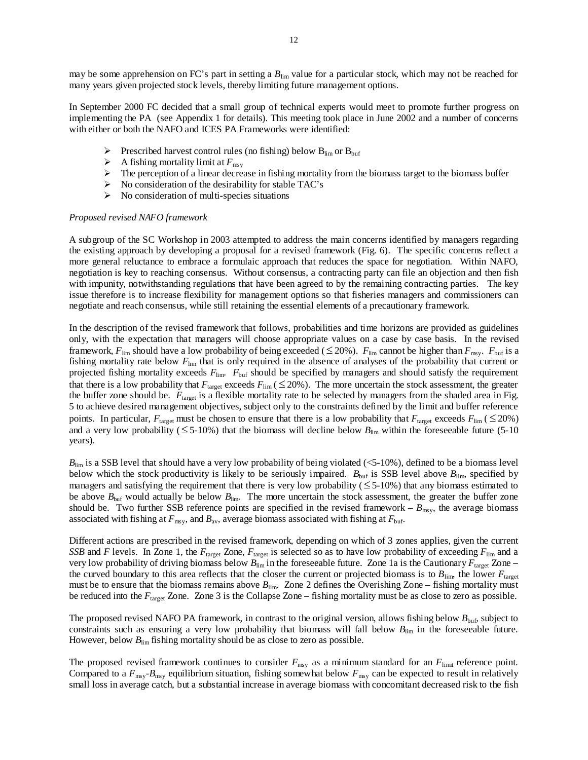In September 2000 FC decided that a small group of technical experts would meet to promote further progress on implementing the PA (see Appendix 1 for details). This meeting took place in June 2002 and a number of concerns with either or both the NAFO and ICES PA Frameworks were identified:

- $\triangleright$  Prescribed harvest control rules (no fishing) below B<sub>lim</sub> or B<sub>buf</sub>
- $\triangleright$  A fishing mortality limit at  $F_{\text{msy}}$
- $\triangleright$  The perception of a linear decrease in fishing mortality from the biomass target to the biomass buffer
- $\triangleright$  No consideration of the desirability for stable TAC's
- $\triangleright$  No consideration of multi-species situations

#### *Proposed revised NAFO framework*

A subgroup of the SC Workshop in 2003 attempted to address the main concerns identified by managers regarding the existing approach by developing a proposal for a revised framework (Fig. 6). The specific concerns reflect a more general reluctance to embrace a formulaic approach that reduces the space for negotiation. Within NAFO, negotiation is key to reaching consensus. Without consensus, a contracting party can file an objection and then fish with impunity, notwithstanding regulations that have been agreed to by the remaining contracting parties. The key issue therefore is to increase flexibility for management options so that fisheries managers and commissioners can negotiate and reach consensus, while still retaining the essential elements of a precautionary framework.

In the description of the revised framework that follows, probabilities and time horizons are provided as guidelines only, with the expectation that managers will choose appropriate values on a case by case basis. In the revised framework,  $F_{\text{lim}}$  should have a low probability of being exceeded (  $\leq$  20%).  $F_{\text{lim}}$  cannot be higher than  $F_{\text{max}}$ .  $F_{\text{buf}}$  is a fishing mortality rate below  $F_{\text{lim}}$  that is only required in the absence of analyses of the probability that current or projected fishing mortality exceeds  $F_{\text{lim}}$ .  $F_{\text{buf}}$  should be specified by managers and should satisfy the requirement that there is a low probability that  $F_{\text{target}}$  exceeds  $F_{\text{lim}}$  ( $\leq$  20%). The more uncertain the stock assessment, the greater the buffer zone should be.  $F_{\text{target}}$  is a flexible mortality rate to be selected by managers from the shaded area in Fig. 5 to achieve desired management objectives, subject only to the constraints defined by the limit and buffer reference points. In particular,  $F_{\text{target}}$  must be chosen to ensure that there is a low probability that  $F_{\text{target}}$  exceeds  $F_{\text{lim}}$  (  $\leq$  20%) and a very low probability ( $\leq 5{\text -}10\%$ ) that the biomass will decline below  $B_{\text{lim}}$  within the foreseeable future (5-10) years).

 $B_{\text{lim}}$  is a SSB level that should have a very low probability of being violated ( $\leq 5-10\%$ ), defined to be a biomass level below which the stock productivity is likely to be seriously impaired.  $B_{\text{buf}}$  is SSB level above  $B_{\text{lim}}$ , specified by managers and satisfying the requirement that there is very low probability ( $\leq$  5-10%) that any biomass estimated to be above  $B_{\text{buf}}$  would actually be below  $B_{\text{lim}}$ . The more uncertain the stock assessment, the greater the buffer zone should be. Two further SSB reference points are specified in the revised framework –  $B_{\text{msy}}$ , the average biomass associated with fishing at  $F_{\text{msy}}$ , and  $B_{\text{av}}$ , average biomass associated with fishing at  $F_{\text{buf}}$ .

Different actions are prescribed in the revised framework, depending on which of 3 zones applies, given the current *SSB* and *F* levels. In Zone 1, the  $F_{\text{target}}$  Zone,  $F_{\text{target}}$  is selected so as to have low probability of exceeding  $F_{\text{lim}}$  and a very low probability of driving biomass below  $B_{\text{lim}}$  in the foreseeable future. Zone 1a is the Cautionary  $F_{\text{target}}$  Zone – the curved boundary to this area reflects that the closer the current or projected biomass is to  $B_{\text{lim}}$ , the lower  $F_{\text{target}}$ must be to ensure that the biomass remains above  $B_{\text{lim}}$ . Zone 2 defines the Overishing Zone – fishing mortality must be reduced into the  $F_{\text{target}}$  Zone. Zone 3 is the Collapse Zone – fishing mortality must be as close to zero as possible.

The proposed revised NAFO PA framework, in contrast to the original version, allows fishing below  $B_{\text{buf}}$ , subject to constraints such as ensuring a very low probability that biomass will fall below  $B_{\text{lim}}$  in the foreseeable future. However, below  $B_{\text{lim}}$  fishing mortality should be as close to zero as possible.

The proposed revised framework continues to consider  $F_{\text{msy}}$  as a minimum standard for an  $F_{\text{limit}}$  reference point. Compared to a  $F_{\text{msy}}-B_{\text{msy}}$  equilibrium situation, fishing somewhat below  $F_{\text{msy}}$  can be expected to result in relatively small loss in average catch, but a substantial increase in average biomass with concomitant decreased risk to the fish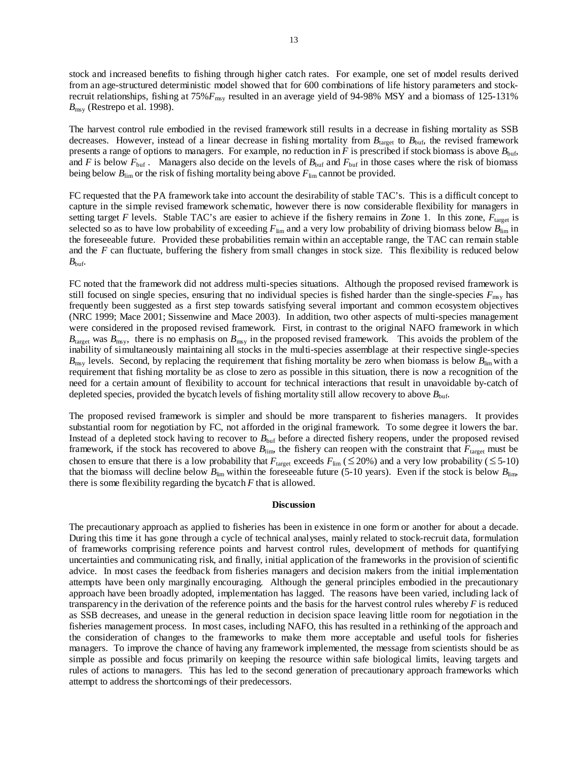stock and increased benefits to fishing through higher catch rates. For example, one set of model results derived from an age-structured deterministic model showed that for 600 combinations of life history parameters and stockrecruit relationships, fishing at 75%*F*msy resulted in an average yield of 94-98% MSY and a biomass of 125-131%  $B_{\text{msy}}$  (Restrepo et al. 1998).

The harvest control rule embodied in the revised framework still results in a decrease in fishing mortality as SSB decreases. However, instead of a linear decrease in fishing mortality from  $B_{\text{target}}$  to  $B_{\text{buf}}$ , the revised framework presents a range of options to managers. For example, no reduction in  $F$  is prescribed if stock biomass is above  $B_{\text{buf}}$ , and *F* is below  $F_{\text{buf}}$ . Managers also decide on the levels of  $B_{\text{buf}}$  and  $F_{\text{buf}}$  in those cases where the risk of biomass being below  $B_{\text{lim}}$  or the risk of fishing mortality being above  $F_{\text{lim}}$  cannot be provided.

FC requested that the PA framework take into account the desirability of stable TAC's. This is a difficult concept to capture in the simple revised framework schematic, however there is now considerable flexibility for managers in setting target *F* levels. Stable TAC's are easier to achieve if the fishery remains in Zone 1. In this zone,  $F_{\text{target}}$  is selected so as to have low probability of exceeding  $F_{\text{lim}}$  and a very low probability of driving biomass below  $B_{\text{lim}}$  in the foreseeable future. Provided these probabilities remain within an acceptable range, the TAC can remain stable and the *F* can fluctuate, buffering the fishery from small changes in stock size. This flexibility is reduced below  $B_{\text{buf}}$ .

FC noted that the framework did not address multi-species situations. Although the proposed revised framework is still focused on single species, ensuring that no individual species is fished harder than the single-species *F*msy has frequently been suggested as a first step towards satisfying several important and common ecosystem objectives (NRC 1999; Mace 2001; Sissenwine and Mace 2003). In addition, two other aspects of multi-species management were considered in the proposed revised framework. First, in contrast to the original NAFO framework in which  $B<sub>target</sub>$  was  $B<sub>msy</sub>$ , there is no emphasis on  $B<sub>msy</sub>$  in the proposed revised framework. This avoids the problem of the inability of simultaneously maintaining all stocks in the multi-species assemblage at their respective single-species  $B_{\text{msv}}$  levels. Second, by replacing the requirement that fishing mortality be zero when biomass is below  $B_{\text{lim}}$  with a requirement that fishing mortality be as close to zero as possible in this situation, there is now a recognition of the need for a certain amount of flexibility to account for technical interactions that result in unavoidable by-catch of depleted species, provided the bycatch levels of fishing mortality still allow recovery to above *B*buf.

The proposed revised framework is simpler and should be more transparent to fisheries managers. It provides substantial room for negotiation by FC, not afforded in the original framework. To some degree it lowers the bar. Instead of a depleted stock having to recover to  $B_{\text{buf}}$  before a directed fishery reopens, under the proposed revised framework, if the stock has recovered to above  $B_{\text{lim}}$ , the fishery can reopen with the constraint that  $F_{\text{target}}$  must be chosen to ensure that there is a low probability that  $F_{\text{target}}$  exceeds  $F_{\text{lim}}$  ( $\leq$  20%) and a very low probability ( $\leq$  5-10) that the biomass will decline below  $B_{\text{lim}}$  within the foreseeable future (5-10 years). Even if the stock is below  $B_{\text{lim}}$ , there is some flexibility regarding the bycatch *F* that is allowed.

#### **Discussion**

The precautionary approach as applied to fisheries has been in existence in one form or another for about a decade. During this time it has gone through a cycle of technical analyses, mainly related to stock-recruit data, formulation of frameworks comprising reference points and harvest control rules, development of methods for quantifying uncertainties and communicating risk, and finally, initial application of the frameworks in the provision of scientific advice. In most cases the feedback from fisheries managers and decision makers from the initial implementation attempts have been only marginally encouraging. Although the general principles embodied in the precautionary approach have been broadly adopted, implementation has lagged. The reasons have been varied, including lack of transparency in the derivation of the reference points and the basis for the harvest control rules whereby *F* is reduced as SSB decreases, and unease in the general reduction in decision space leaving little room for negotiation in the fisheries management process. In most cases, including NAFO, this has resulted in a rethinking of the approach and the consideration of changes to the frameworks to make them more acceptable and useful tools for fisheries managers. To improve the chance of having any framework implemented, the message from scientists should be as simple as possible and focus primarily on keeping the resource within safe biological limits, leaving targets and rules of actions to managers. This has led to the second generation of precautionary approach frameworks which attempt to address the shortcomings of their predecessors.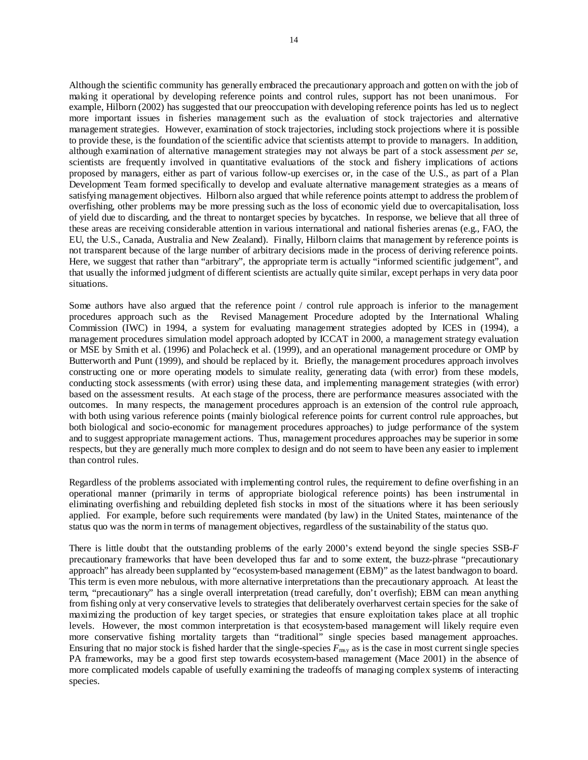Although the scientific community has generally embraced the precautionary approach and gotten on with the job of making it operational by developing reference points and control rules, support has not been unanimous. For example, Hilborn (2002) has suggested that our preoccupation with developing reference points has led us to neglect more important issues in fisheries management such as the evaluation of stock trajectories and alternative management strategies. However, examination of stock trajectories, including stock projections where it is possible to provide these, is the foundation of the scientific advice that scientists attempt to provide to managers. In addition, although examination of alternative management strategies may not always be part of a stock assessment *per se*, scientists are frequently involved in quantitative evaluations of the stock and fishery implications of actions proposed by managers, either as part of various follow-up exercises or, in the case of the U.S., as part of a Plan Development Team formed specifically to develop and evaluate alternative management strategies as a means of satisfying management objectives. Hilborn also argued that while reference points attempt to address the problem of overfishing, other problems may be more pressing such as the loss of economic yield due to overcapitalisation, loss of yield due to discarding, and the threat to nontarget species by bycatches. In response, we believe that all three of these areas are receiving considerable attention in various international and national fisheries arenas (e.g., FAO, the EU, the U.S., Canada, Australia and New Zealand). Finally, Hilborn claims that management by reference points is not transparent because of the large number of arbitrary decisions made in the process of deriving reference points. Here, we suggest that rather than "arbitrary", the appropriate term is actually "informed scientific judgement", and that usually the informed judgment of different scientists are actually quite similar, except perhaps in very data poor situations.

Some authors have also argued that the reference point / control rule approach is inferior to the management procedures approach such as the Revised Management Procedure adopted by the International Whaling Commission (IWC) in 1994, a system for evaluating management strategies adopted by ICES in (1994), a management procedures simulation model approach adopted by ICCAT in 2000, a management strategy evaluation or MSE by Smith et al. (1996) and Polacheck et al. (1999), and an operational management procedure or OMP by Butterworth and Punt (1999), and should be replaced by it. Briefly, the management procedures approach involves constructing one or more operating models to simulate reality, generating data (with error) from these models, conducting stock assessments (with error) using these data, and implementing management strategies (with error) based on the assessment results. At each stage of the process, there are performance measures associated with the outcomes. In many respects, the management procedures approach is an extension of the control rule approach, with both using various reference points (mainly biological reference points for current control rule approaches, but both biological and socio-economic for management procedures approaches) to judge performance of the system and to suggest appropriate management actions. Thus, management procedures approaches may be superior in some respects, but they are generally much more complex to design and do not seem to have been any easier to implement than control rules.

Regardless of the problems associated with implementing control rules, the requirement to define overfishing in an operational manner (primarily in terms of appropriate biological reference points) has been instrumental in eliminating overfishing and rebuilding depleted fish stocks in most of the situations where it has been seriously applied. For example, before such requirements were mandated (by law) in the United States, maintenance of the status quo was the norm in terms of management objectives, regardless of the sustainability of the status quo.

There is little doubt that the outstanding problems of the early 2000's extend beyond the single species SSB-*F* precautionary frameworks that have been developed thus far and to some extent, the buzz-phrase "precautionary approach" has already been supplanted by "ecosystem-based management (EBM)" as the latest bandwagon to board. This term is even more nebulous, with more alternative interpretations than the precautionary approach. At least the term, "precautionary" has a single overall interpretation (tread carefully, don't overfish); EBM can mean anything from fishing only at very conservative levels to strategies that deliberately overharvest certain species for the sake of maximizing the production of key target species, or strategies that ensure exploitation takes place at all trophic levels. However, the most common interpretation is that ecosystem-based management will likely require even more conservative fishing mortality targets than "traditional" single species based management approaches. Ensuring that no major stock is fished harder that the single-species  $F_{\text{msy}}$  as is the case in most current single species PA frameworks, may be a good first step towards ecosystem-based management (Mace 2001) in the absence of more complicated models capable of usefully examining the tradeoffs of managing complex systems of interacting species.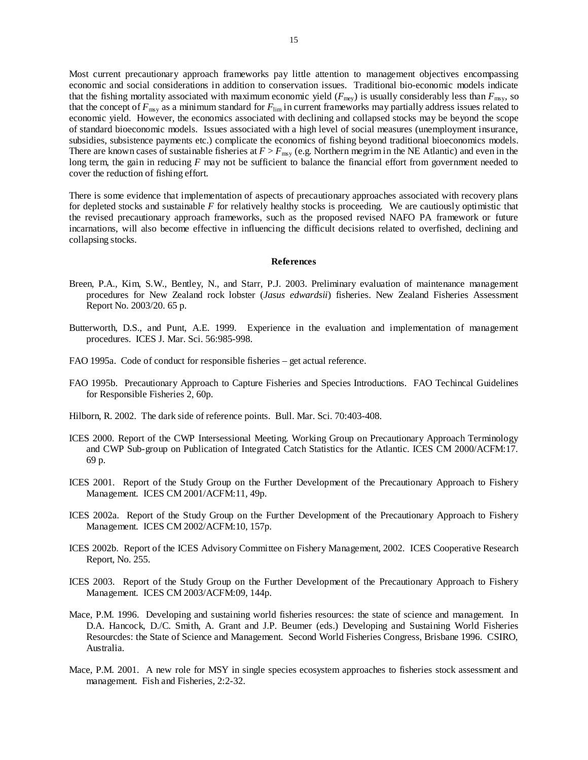Most current precautionary approach frameworks pay little attention to management objectives encompassing economic and social considerations in addition to conservation issues. Traditional bio-economic models indicate that the fishing mortality associated with maximum economic yield  $(F_{\text{mey}})$  is usually considerably less than  $F_{\text{msy}}$ , so that the concept of *F*msy as a minimum standard for *F*lim in current frameworks may partially address issues related to economic yield. However, the economics associated with declining and collapsed stocks may be beyond the scope of standard bioeconomic models. Issues associated with a high level of social measures (unemployment insurance, subsidies, subsistence payments etc.) complicate the economics of fishing beyond traditional bioeconomics models. There are known cases of sustainable fisheries at  $F > F_{\text{msy}}$  (e.g. Northern megrim in the NE Atlantic) and even in the long term, the gain in reducing *F* may not be sufficient to balance the financial effort from government needed to cover the reduction of fishing effort.

There is some evidence that implementation of aspects of precautionary approaches associated with recovery plans for depleted stocks and sustainable *F* for relatively healthy stocks is proceeding. We are cautiously optimistic that the revised precautionary approach frameworks, such as the proposed revised NAFO PA framework or future incarnations, will also become effective in influencing the difficult decisions related to overfished, declining and collapsing stocks.

#### **References**

- Breen, P.A., Kim, S.W., Bentley, N., and Starr, P.J. 2003. Preliminary evaluation of maintenance management procedures for New Zealand rock lobster (*Jasus edwardsii*) fisheries. New Zealand Fisheries Assessment Report No. 2003/20. 65 p.
- Butterworth, D.S., and Punt, A.E. 1999. Experience in the evaluation and implementation of management procedures. ICES J. Mar. Sci. 56:985-998.
- FAO 1995a. Code of conduct for responsible fisheries get actual reference.
- FAO 1995b. Precautionary Approach to Capture Fisheries and Species Introductions. FAO Techincal Guidelines for Responsible Fisheries 2, 60p.
- Hilborn, R. 2002. The dark side of reference points. Bull. Mar. Sci. 70:403-408.
- ICES 2000. Report of the CWP Intersessional Meeting. Working Group on Precautionary Approach Terminology and CWP Sub-group on Publication of Integrated Catch Statistics for the Atlantic. ICES CM 2000/ACFM:17. 69 p.
- ICES 2001. Report of the Study Group on the Further Development of the Precautionary Approach to Fishery Management. ICES CM 2001/ACFM:11, 49p.
- ICES 2002a. Report of the Study Group on the Further Development of the Precautionary Approach to Fishery Management. ICES CM 2002/ACFM:10, 157p.
- ICES 2002b. Report of the ICES Advisory Committee on Fishery Management, 2002. ICES Cooperative Research Report, No. 255.
- ICES 2003. Report of the Study Group on the Further Development of the Precautionary Approach to Fishery Management. ICES CM 2003/ACFM:09, 144p.
- Mace, P.M. 1996. Developing and sustaining world fisheries resources: the state of science and management. In D.A. Hancock, D./C. Smith, A. Grant and J.P. Beumer (eds.) Developing and Sustaining World Fisheries Resourcdes: the State of Science and Management. Second World Fisheries Congress, Brisbane 1996. CSIRO, Australia.
- Mace, P.M. 2001. A new role for MSY in single species ecosystem approaches to fisheries stock assessment and management. Fish and Fisheries, 2:2-32.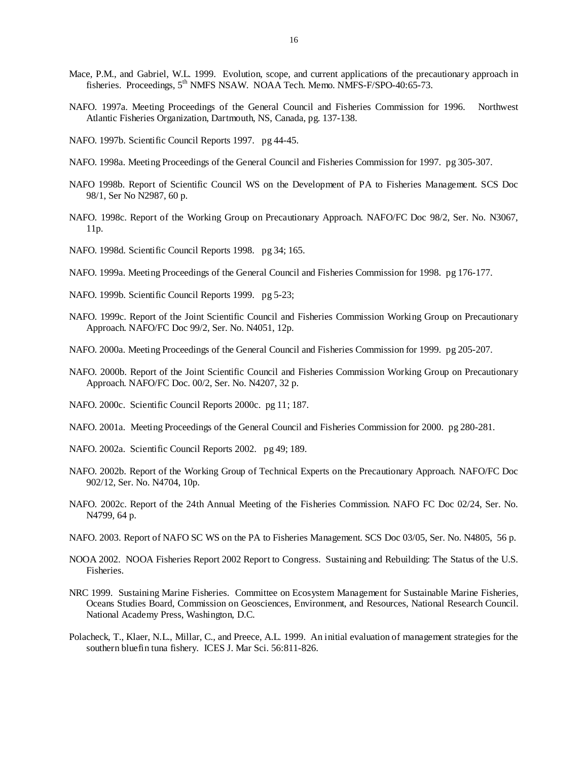- Mace, P.M., and Gabriel, W.L. 1999. Evolution, scope, and current applications of the precautionary approach in fisheries. Proceedings, 5<sup>th</sup> NMFS NSAW. NOAA Tech. Memo. NMFS-F/SPO-40:65-73.
- NAFO. 1997a. Meeting Proceedings of the General Council and Fisheries Commission for 1996. Northwest Atlantic Fisheries Organization, Dartmouth, NS, Canada, pg. 137-138.
- NAFO. 1997b. Scientific Council Reports 1997. pg 44-45.
- NAFO. 1998a. Meeting Proceedings of the General Council and Fisheries Commission for 1997. pg 305-307.
- NAFO 1998b. Report of Scientific Council WS on the Development of PA to Fisheries Management. SCS Doc 98/1, Ser No N2987, 60 p.
- NAFO. 1998c. Report of the Working Group on Precautionary Approach. NAFO/FC Doc 98/2, Ser. No. N3067, 11p.
- NAFO. 1998d. Scientific Council Reports 1998. pg 34; 165.
- NAFO. 1999a. Meeting Proceedings of the General Council and Fisheries Commission for 1998. pg 176-177.
- NAFO. 1999b. Scientific Council Reports 1999. pg 5-23;
- NAFO. 1999c. Report of the Joint Scientific Council and Fisheries Commission Working Group on Precautionary Approach. NAFO/FC Doc 99/2, Ser. No. N4051, 12p.
- NAFO. 2000a. Meeting Proceedings of the General Council and Fisheries Commission for 1999. pg 205-207.
- NAFO. 2000b. Report of the Joint Scientific Council and Fisheries Commission Working Group on Precautionary Approach. NAFO/FC Doc. 00/2, Ser. No. N4207, 32 p.
- NAFO. 2000c. Scientific Council Reports 2000c. pg 11; 187.
- NAFO. 2001a. Meeting Proceedings of the General Council and Fisheries Commission for 2000. pg 280-281.
- NAFO. 2002a. Scientific Council Reports 2002. pg 49; 189.
- NAFO. 2002b. Report of the Working Group of Technical Experts on the Precautionary Approach. NAFO/FC Doc 902/12, Ser. No. N4704, 10p.
- NAFO. 2002c. Report of the 24th Annual Meeting of the Fisheries Commission. NAFO FC Doc 02/24, Ser. No. N4799, 64 p.
- NAFO. 2003. Report of NAFO SC WS on the PA to Fisheries Management. SCS Doc 03/05, Ser. No. N4805, 56 p.
- NOOA 2002. NOOA Fisheries Report 2002 Report to Congress. Sustaining and Rebuilding: The Status of the U.S. Fisheries.
- NRC 1999. Sustaining Marine Fisheries. Committee on Ecosystem Management for Sustainable Marine Fisheries, Oceans Studies Board, Commission on Geosciences, Environment, and Resources, National Research Council. National Academy Press, Washington, D.C.
- Polacheck, T., Klaer, N.L., Millar, C., and Preece, A.L. 1999. An initial evaluation of management strategies for the southern bluefin tuna fishery. ICES J. Mar Sci. 56:811-826.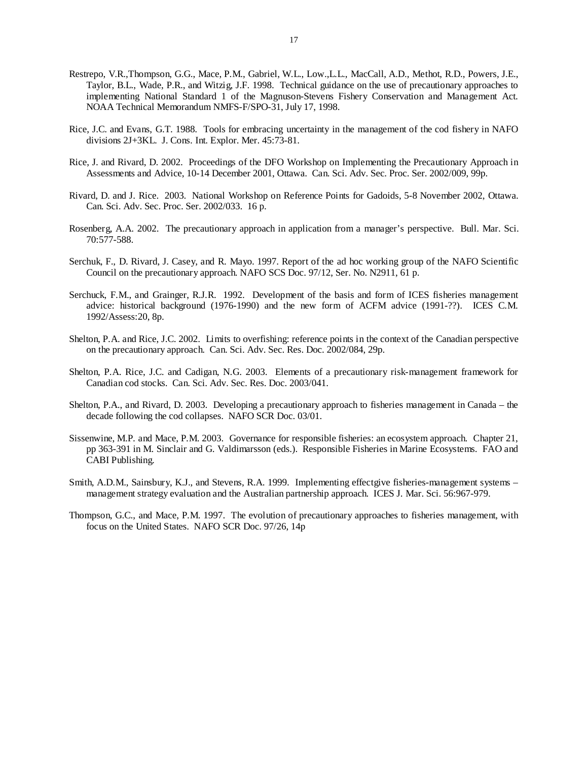- Restrepo, V.R.,Thompson, G.G., Mace, P.M., Gabriel, W.L., Low.,L.L., MacCall, A.D., Methot, R.D., Powers, J.E., Taylor, B.L., Wade, P.R., and Witzig, J.F. 1998. Technical guidance on the use of precautionary approaches to implementing National Standard 1 of the Magnuson-Stevens Fishery Conservation and Management Act. NOAA Technical Memorandum NMFS-F/SPO-31, July 17, 1998.
- Rice, J.C. and Evans, G.T. 1988. Tools for embracing uncertainty in the management of the cod fishery in NAFO divisions 2J+3KL. J. Cons. Int. Explor. Mer. 45:73-81.
- Rice, J. and Rivard, D. 2002. Proceedings of the DFO Workshop on Implementing the Precautionary Approach in Assessments and Advice, 10-14 December 2001, Ottawa. Can. Sci. Adv. Sec. Proc. Ser. 2002/009, 99p.
- Rivard, D. and J. Rice. 2003. National Workshop on Reference Points for Gadoids, 5-8 November 2002, Ottawa. Can. Sci. Adv. Sec. Proc. Ser. 2002/033. 16 p.
- Rosenberg, A.A. 2002. The precautionary approach in application from a manager's perspective. Bull. Mar. Sci. 70:577-588.
- Serchuk, F., D. Rivard, J. Casey, and R. Mayo. 1997. Report of the ad hoc working group of the NAFO Scientific Council on the precautionary approach. NAFO SCS Doc. 97/12, Ser. No. N2911, 61 p.
- Serchuck, F.M., and Grainger, R.J.R. 1992. Development of the basis and form of ICES fisheries management advice: historical background (1976-1990) and the new form of ACFM advice (1991-??). ICES C.M. 1992/Assess:20, 8p.
- Shelton, P.A. and Rice, J.C. 2002. Limits to overfishing: reference points in the context of the Canadian perspective on the precautionary approach. Can. Sci. Adv. Sec. Res. Doc. 2002/084, 29p.
- Shelton, P.A. Rice, J.C. and Cadigan, N.G. 2003. Elements of a precautionary risk-management framework for Canadian cod stocks. Can. Sci. Adv. Sec. Res. Doc. 2003/041.
- Shelton, P.A., and Rivard, D. 2003. Developing a precautionary approach to fisheries management in Canada the decade following the cod collapses. NAFO SCR Doc. 03/01.
- Sissenwine, M.P. and Mace, P.M. 2003. Governance for responsible fisheries: an ecosystem approach. Chapter 21, pp 363-391 in M. Sinclair and G. Valdimarsson (eds.). Responsible Fisheries in Marine Ecosystems. FAO and CABI Publishing.
- Smith, A.D.M., Sainsbury, K.J., and Stevens, R.A. 1999. Implementing effectgive fisheries-management systems management strategy evaluation and the Australian partnership approach. ICES J. Mar. Sci. 56:967-979.
- Thompson, G.C., and Mace, P.M. 1997. The evolution of precautionary approaches to fisheries management, with focus on the United States. NAFO SCR Doc. 97/26, 14p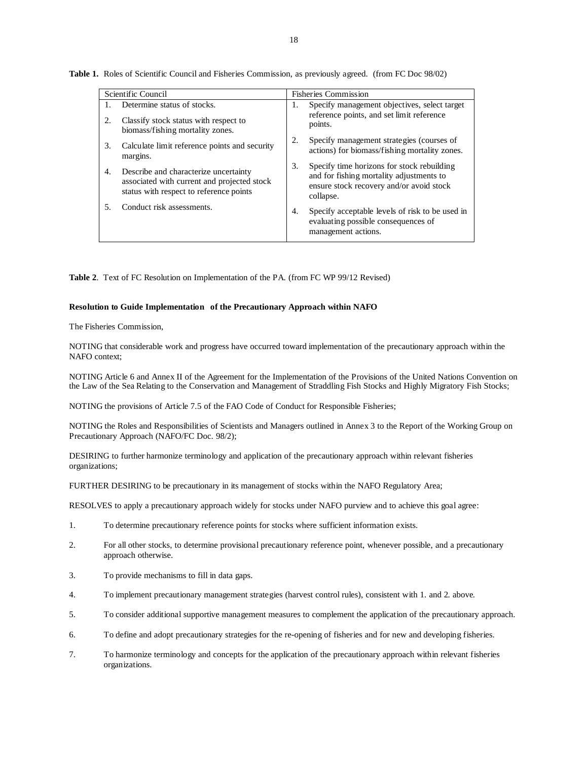| Scientific Council |                                                                                                                                 | <b>Fisheries Commission</b>                                                                                                                           |  |
|--------------------|---------------------------------------------------------------------------------------------------------------------------------|-------------------------------------------------------------------------------------------------------------------------------------------------------|--|
| Τ.                 | Determine status of stocks.                                                                                                     | Specify management objectives, select target<br>1.                                                                                                    |  |
| 2.                 | Classify stock status with respect to<br>biomass/fishing mortality zones.                                                       | reference points, and set limit reference<br>points.                                                                                                  |  |
| 3.                 | Calculate limit reference points and security<br>margins.                                                                       | Specify management strategies (courses of<br>2.<br>actions) for biomass/fishing mortality zones.                                                      |  |
| 4.                 | Describe and characterize uncertainty<br>associated with current and projected stock<br>status with respect to reference points | Specify time horizons for stock rebuilding<br>3.<br>and for fishing mortality adjustments to<br>ensure stock recovery and/or avoid stock<br>collapse. |  |
| 5.                 | Conduct risk assessments.                                                                                                       | Specify acceptable levels of risk to be used in<br>4.<br>evaluating possible consequences of<br>management actions.                                   |  |

**Table 1.** Roles of Scientific Council and Fisheries Commission, as previously agreed. (from FC Doc 98/02)

**Table 2**. Text of FC Resolution on Implementation of the PA. (from FC WP 99/12 Revised)

#### **Resolution to Guide Implementation of the Precautionary Approach within NAFO**

The Fisheries Commission,

NOTING that considerable work and progress have occurred toward implementation of the precautionary approach within the NAFO context;

NOTING Article 6 and Annex II of the Agreement for the Implementation of the Provisions of the United Nations Convention on the Law of the Sea Relating to the Conservation and Management of Straddling Fish Stocks and Highly Migratory Fish Stocks;

NOTING the provisions of Article 7.5 of the FAO Code of Conduct for Responsible Fisheries;

NOTING the Roles and Responsibilities of Scientists and Managers outlined in Annex 3 to the Report of the Working Group on Precautionary Approach (NAFO/FC Doc. 98/2);

DESIRING to further harmonize terminology and application of the precautionary approach within relevant fisheries organizations;

FURTHER DESIRING to be precautionary in its management of stocks within the NAFO Regulatory Area;

RESOLVES to apply a precautionary approach widely for stocks under NAFO purview and to achieve this goal agree:

- 1. To determine precautionary reference points for stocks where sufficient information exists.
- 2. For all other stocks, to determine provisional precautionary reference point, whenever possible, and a precautionary approach otherwise.
- 3. To provide mechanisms to fill in data gaps.
- 4. To implement precautionary management strategies (harvest control rules), consistent with 1. and 2. above.
- 5. To consider additional supportive management measures to complement the application of the precautionary approach.
- 6. To define and adopt precautionary strategies for the re-opening of fisheries and for new and developing fisheries.
- 7. To harmonize terminology and concepts for the application of the precautionary approach within relevant fisheries organizations.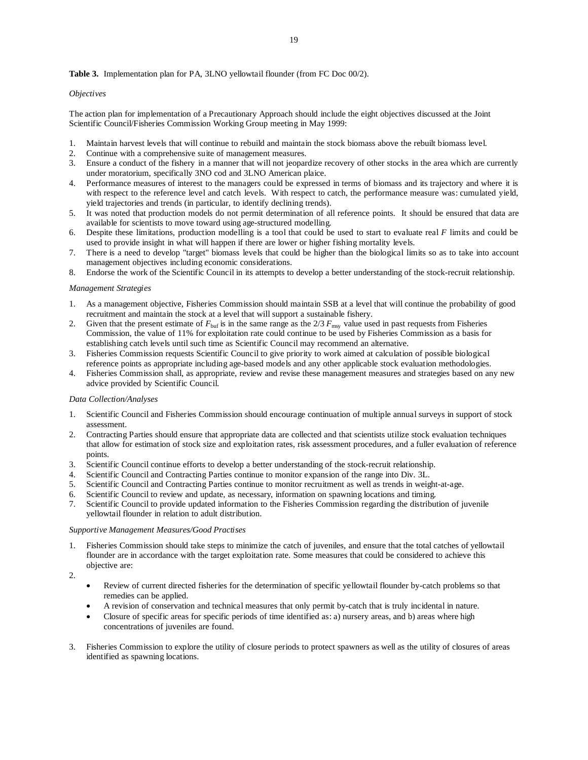#### **Table 3.** Implementation plan for PA, 3LNO yellowtail flounder (from FC Doc 00/2).

#### *Objectives*

The action plan for implementation of a Precautionary Approach should include the eight objectives discussed at the Joint Scientific Council/Fisheries Commission Working Group meeting in May 1999:

- 1. Maintain harvest levels that will continue to rebuild and maintain the stock biomass above the rebuilt biomass level.
- 2. Continue with a comprehensive suite of management measures.
- 3. Ensure a conduct of the fishery in a manner that will not jeopardize recovery of other stocks in the area which are currently under moratorium, specifically 3NO cod and 3LNO American plaice.
- 4. Performance measures of interest to the managers could be expressed in terms of biomass and its trajectory and where it is with respect to the reference level and catch levels. With respect to catch, the performance measure was: cumulated yield, yield trajectories and trends (in particular, to identify declining trends).
- 5. It was noted that production models do not permit determination of all reference points. It should be ensured that data are available for scientists to move toward using age-structured modelling.
- 6. Despite these limitations, production modelling is a tool that could be used to start to evaluate real *F* limits and could be used to provide insight in what will happen if there are lower or higher fishing mortality levels.
- 7. There is a need to develop "target" biomass levels that could be higher than the biological limits so as to take into account management objectives including economic considerations.
- 8. Endorse the work of the Scientific Council in its attempts to develop a better understanding of the stock-recruit relationship.

#### *Management Strategies*

- 1. As a management objective, Fisheries Commission should maintain SSB at a level that will continue the probability of good recruitment and maintain the stock at a level that will support a sustainable fishery.
- 2. Given that the present estimate of  $F_{\text{buf}}$  is in the same range as the  $2/3$   $F_{\text{ms}}$  value used in past requests from Fisheries Commission, the value of 11% for exploitation rate could continue to be used by Fisheries Commission as a basis for establishing catch levels until such time as Scientific Council may recommend an alternative.
- 3. Fisheries Commission requests Scientific Council to give priority to work aimed at calculation of possible biological reference points as appropriate including age-based models and any other applicable stock evaluation methodologies.
- 4. Fisheries Commission shall, as appropriate, review and revise these management measures and strategies based on any new advice provided by Scientific Council.

#### *Data Collection/Analyses*

- 1. Scientific Council and Fisheries Commission should encourage continuation of multiple annual surveys in support of stock assessment.
- 2. Contracting Parties should ensure that appropriate data are collected and that scientists utilize stock evaluation techniques that allow for estimation of stock size and exploitation rates, risk assessment procedures, and a fuller evaluation of reference points.
- 3. Scientific Council continue efforts to develop a better understanding of the stock-recruit relationship.
- 4. Scientific Council and Contracting Parties continue to monitor expansion of the range into Div. 3L.
- 5. Scientific Council and Contracting Parties continue to monitor recruitment as well as trends in weight-at-age.
- 6. Scientific Council to review and update, as necessary, information on spawning locations and timing.
- 7. Scientific Council to provide updated information to the Fisheries Commission regarding the distribution of juvenile yellowtail flounder in relation to adult distribution.

#### *Supportive Management Measures/Good Practises*

1. Fisheries Commission should take steps to minimize the catch of juveniles, and ensure that the total catches of yellowtail flounder are in accordance with the target exploitation rate. Some measures that could be considered to achieve this objective are:

 $\mathcal{L}$ 

- Review of current directed fisheries for the determination of specific yellowtail flounder by-catch problems so that remedies can be applied.
- A revision of conservation and technical measures that only permit by-catch that is truly incidental in nature.
- Closure of specific areas for specific periods of time identified as: a) nursery areas, and b) areas where high concentrations of juveniles are found.
- 3. Fisheries Commission to explore the utility of closure periods to protect spawners as well as the utility of closures of areas identified as spawning locations.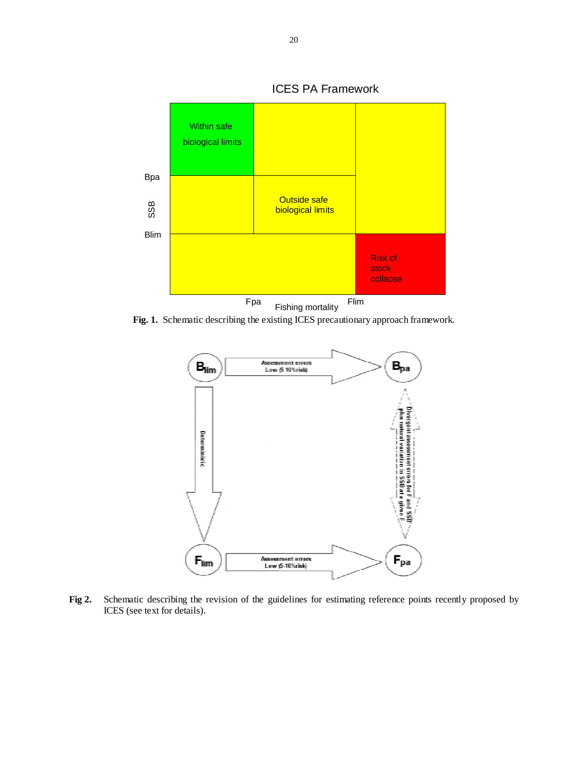

**Fig. 1.** Schematic describing the existing ICES precautionary approach framework.



**Fig 2.** Schematic describing the revision of the guidelines for estimating reference points recently proposed by ICES (see text for details).

## ICES PA Framework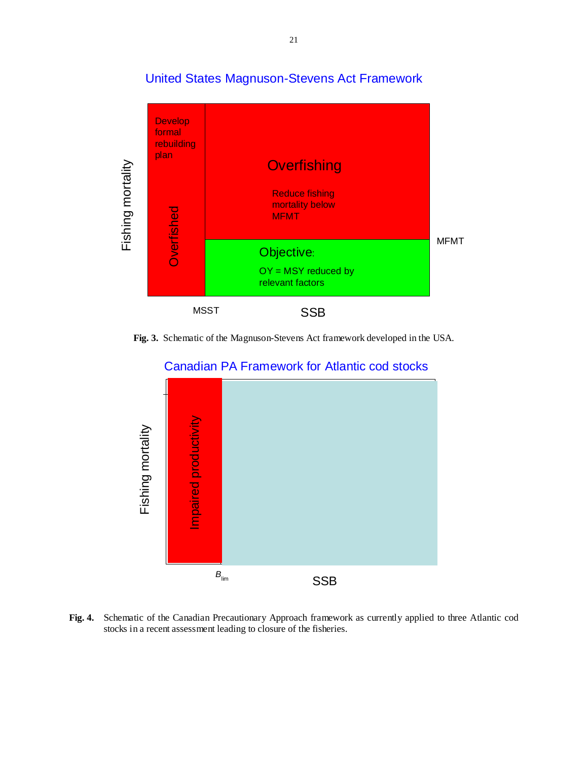



**Fig. 3.** Schematic of the Magnuson-Stevens Act framework developed in the USA.



# Canadian PA Framework for Atlantic cod stocks

**Fig. 4.** Schematic of the Canadian Precautionary Approach framework as currently applied to three Atlantic cod stocks in a recent assessment leading to closure of the fisheries.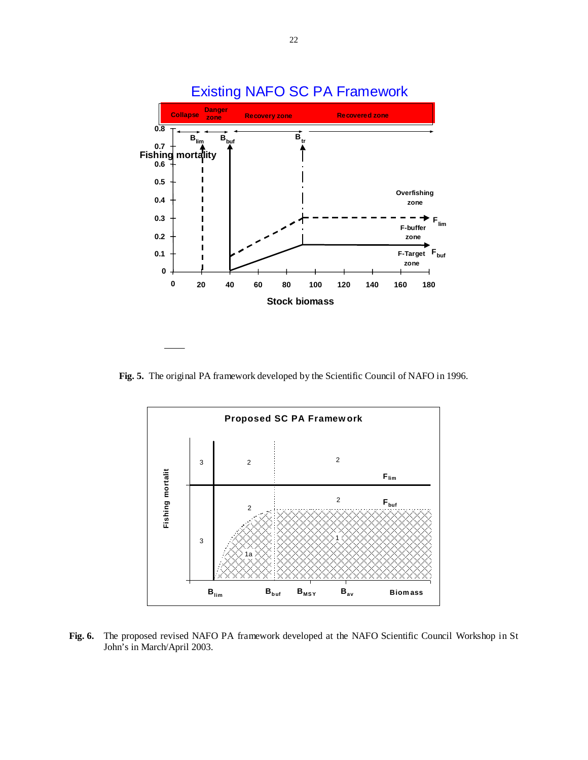

**Fig. 5.** The original PA framework developed by the Scientific Council of NAFO in 1996.



**Fig. 6.** The proposed revised NAFO PA framework developed at the NAFO Scientific Council Workshop in St John's in March/April 2003.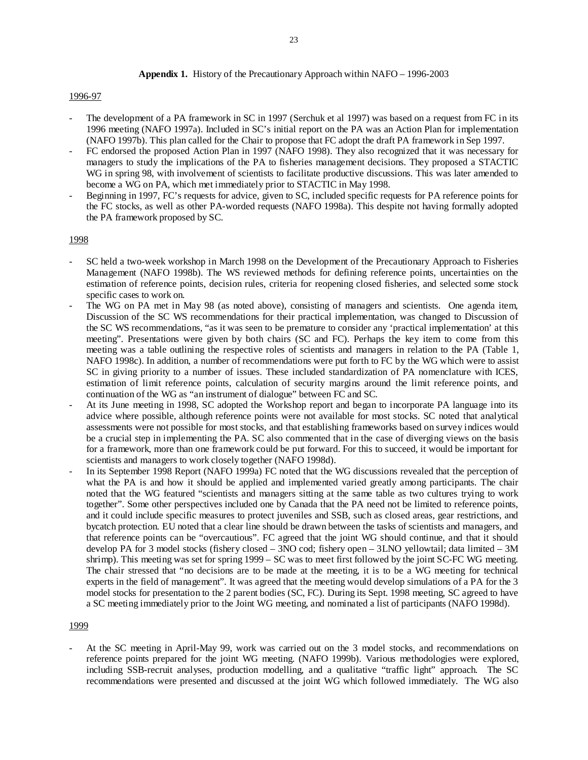## **Appendix 1.** History of the Precautionary Approach within NAFO – 1996-2003

## 1996-97

- The development of a PA framework in SC in 1997 (Serchuk et al 1997) was based on a request from FC in its 1996 meeting (NAFO 1997a). Included in SC's initial report on the PA was an Action Plan for implementation (NAFO 1997b). This plan called for the Chair to propose that FC adopt the draft PA framework in Sep 1997.
- FC endorsed the proposed Action Plan in 1997 (NAFO 1998). They also recognized that it was necessary for managers to study the implications of the PA to fisheries management decisions. They proposed a STACTIC WG in spring 98, with involvement of scientists to facilitate productive discussions. This was later amended to become a WG on PA, which met immediately prior to STACTIC in May 1998.
- Beginning in 1997, FC's requests for advice, given to SC, included specific requests for PA reference points for the FC stocks, as well as other PA-worded requests (NAFO 1998a). This despite not having formally adopted the PA framework proposed by SC.

## 1998

- SC held a two-week workshop in March 1998 on the Development of the Precautionary Approach to Fisheries Management (NAFO 1998b). The WS reviewed methods for defining reference points, uncertainties on the estimation of reference points, decision rules, criteria for reopening closed fisheries, and selected some stock specific cases to work on.
- The WG on PA met in May 98 (as noted above), consisting of managers and scientists. One agenda item, Discussion of the SC WS recommendations for their practical implementation, was changed to Discussion of the SC WS recommendations, "as it was seen to be premature to consider any 'practical implementation' at this meeting". Presentations were given by both chairs (SC and FC). Perhaps the key item to come from this meeting was a table outlining the respective roles of scientists and managers in relation to the PA (Table 1, NAFO 1998c). In addition, a number of recommendations were put forth to FC by the WG which were to assist SC in giving priority to a number of issues. These included standardization of PA nomenclature with ICES, estimation of limit reference points, calculation of security margins around the limit reference points, and continuation of the WG as "an instrument of dialogue" between FC and SC.
- At its June meeting in 1998, SC adopted the Workshop report and began to incorporate PA language into its advice where possible, although reference points were not available for most stocks. SC noted that analytical assessments were not possible for most stocks, and that establishing frameworks based on survey indices would be a crucial step in implementing the PA. SC also commented that in the case of diverging views on the basis for a framework, more than one framework could be put forward. For this to succeed, it would be important for scientists and managers to work closely together (NAFO 1998d).
- In its September 1998 Report (NAFO 1999a) FC noted that the WG discussions revealed that the perception of what the PA is and how it should be applied and implemented varied greatly among participants. The chair noted that the WG featured "scientists and managers sitting at the same table as two cultures trying to work together". Some other perspectives included one by Canada that the PA need not be limited to reference points, and it could include specific measures to protect juveniles and SSB, such as closed areas, gear restrictions, and bycatch protection. EU noted that a clear line should be drawn between the tasks of scientists and managers, and that reference points can be "overcautious". FC agreed that the joint WG should continue, and that it should develop PA for 3 model stocks (fishery closed – 3NO cod; fishery open – 3LNO yellowtail; data limited – 3M shrimp). This meeting was set for spring 1999 – SC was to meet first followed by the joint SC-FC WG meeting. The chair stressed that "no decisions are to be made at the meeting, it is to be a WG meeting for technical experts in the field of management". It was agreed that the meeting would develop simulations of a PA for the 3 model stocks for presentation to the 2 parent bodies (SC, FC). During its Sept. 1998 meeting, SC agreed to have a SC meeting immediately prior to the Joint WG meeting, and nominated a list of participants (NAFO 1998d).

#### 1999

- At the SC meeting in April-May 99, work was carried out on the 3 model stocks, and recommendations on reference points prepared for the joint WG meeting. (NAFO 1999b). Various methodologies were explored, including SSB-recruit analyses, production modelling, and a qualitative "traffic light" approach. The SC recommendations were presented and discussed at the joint WG which followed immediately. The WG also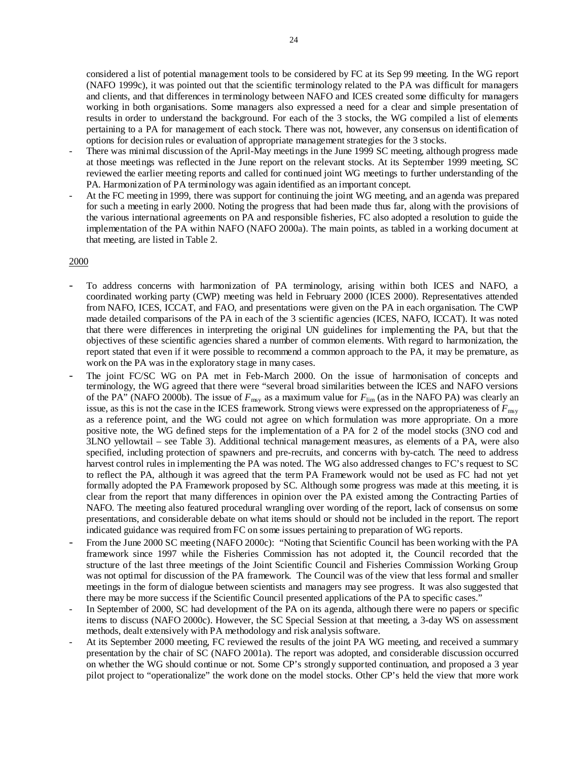considered a list of potential management tools to be considered by FC at its Sep 99 meeting. In the WG report (NAFO 1999c), it was pointed out that the scientific terminology related to the PA was difficult for managers and clients, and that differences in terminology between NAFO and ICES created some difficulty for managers working in both organisations. Some managers also expressed a need for a clear and simple presentation of results in order to understand the background. For each of the 3 stocks, the WG compiled a list of elements pertaining to a PA for management of each stock. There was not, however, any consensus on identification of options for decision rules or evaluation of appropriate management strategies for the 3 stocks.

- There was minimal discussion of the April-May meetings in the June 1999 SC meeting, although progress made at those meetings was reflected in the June report on the relevant stocks. At its September 1999 meeting, SC reviewed the earlier meeting reports and called for continued joint WG meetings to further understanding of the PA. Harmonization of PA terminology was again identified as an important concept.
- At the FC meeting in 1999, there was support for continuing the joint WG meeting, and an agenda was prepared for such a meeting in early 2000. Noting the progress that had been made thus far, along with the provisions of the various international agreements on PA and responsible fisheries, FC also adopted a resolution to guide the implementation of the PA within NAFO (NAFO 2000a). The main points, as tabled in a working document at that meeting, are listed in Table 2.

## 2000

- To address concerns with harmonization of PA terminology, arising within both ICES and NAFO, a coordinated working party (CWP) meeting was held in February 2000 (ICES 2000). Representatives attended from NAFO, ICES, ICCAT, and FAO, and presentations were given on the PA in each organisation. The CWP made detailed comparisons of the PA in each of the 3 scientific agencies (ICES, NAFO, ICCAT). It was noted that there were differences in interpreting the original UN guidelines for implementing the PA, but that the objectives of these scientific agencies shared a number of common elements. With regard to harmonization, the report stated that even if it were possible to recommend a common approach to the PA, it may be premature, as work on the PA was in the exploratory stage in many cases.
- The joint FC/SC WG on PA met in Feb-March 2000. On the issue of harmonisation of concepts and terminology, the WG agreed that there were "several broad similarities between the ICES and NAFO versions of the PA" (NAFO 2000b). The issue of  $F_{\text{msy}}$  as a maximum value for  $F_{\text{lim}}$  (as in the NAFO PA) was clearly an issue, as this is not the case in the ICES framework. Strong views were expressed on the appropriateness of  $F_{\text{msy}}$ as a reference point, and the WG could not agree on which formulation was more appropriate. On a more positive note, the WG defined steps for the implementation of a PA for 2 of the model stocks (3NO cod and 3LNO yellowtail – see Table 3). Additional technical management measures, as elements of a PA, were also specified, including protection of spawners and pre-recruits, and concerns with by-catch. The need to address harvest control rules in implementing the PA was noted. The WG also addressed changes to FC's request to SC to reflect the PA, although it was agreed that the term PA Framework would not be used as FC had not yet formally adopted the PA Framework proposed by SC. Although some progress was made at this meeting, it is clear from the report that many differences in opinion over the PA existed among the Contracting Parties of NAFO. The meeting also featured procedural wrangling over wording of the report, lack of consensus on some presentations, and considerable debate on what items should or should not be included in the report. The report indicated guidance was required from FC on some issues pertaining to preparation of WG reports.
- From the June 2000 SC meeting (NAFO 2000c): "Noting that Scientific Council has been working with the PA framework since 1997 while the Fisheries Commission has not adopted it, the Council recorded that the structure of the last three meetings of the Joint Scientific Council and Fisheries Commission Working Group was not optimal for discussion of the PA framework. The Council was of the view that less formal and smaller meetings in the form of dialogue between scientists and managers may see progress. It was also suggested that there may be more success if the Scientific Council presented applications of the PA to specific cases."
- In September of 2000, SC had development of the PA on its agenda, although there were no papers or specific items to discuss (NAFO 2000c). However, the SC Special Session at that meeting, a 3-day WS on assessment methods, dealt extensively with PA methodology and risk analysis software.
- At its September 2000 meeting, FC reviewed the results of the joint PA WG meeting, and received a summary presentation by the chair of SC (NAFO 2001a). The report was adopted, and considerable discussion occurred on whether the WG should continue or not. Some CP's strongly supported continuation, and proposed a 3 year pilot project to "operationalize" the work done on the model stocks. Other CP's held the view that more work